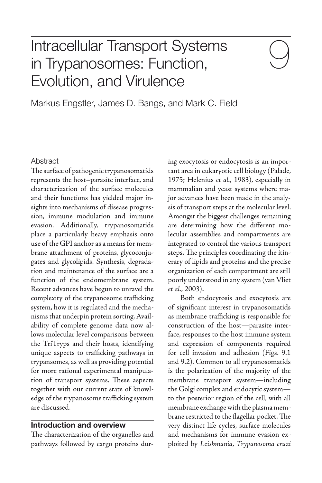# Intracellular Transport Systems in Trypanosomes: Function, Evolution, and Virulence

Markus Engstler, James D. Bangs, and Mark C. Field

#### **Abstract**

The surface of pathogenic trypanosomatids represents the host–parasite interface, and characterization of the surface molecules and their functions has yielded major insights into mechanisms of disease progression, immune modulation and immune evasion. Additionally, trypanosomatids place a particularly heavy emphasis onto use of the GPI anchor as a means for membrane attachment of proteins, glycoconjugates and glycolipids. Synthesis, degradation and maintenance of the surface are a function of the endomembrane system. Recent advances have begun to unravel the complexity of the trypanosome trafficking system, how it is regulated and the mechanisms that underpin protein sorting. Availability of complete genome data now allows molecular level comparisons between the TriTryps and their hosts, identifying unique aspects to trafficking pathways in trypansomes, as well as providing potential for more rational experimental manipulation of transport systems. These aspects together with our current state of knowledge of the trypanosome trafficking system are discussed.

#### **Introduction and overview**

The characterization of the organelles and pathways followed by cargo proteins dur-

ing exocytosis or endocytosis is an important area in eukaryotic cell biology (Palade, 1975; Helenius et al., 1983), especially in mammalian and yeast systems where major advances have been made in the analysis of transport steps at the molecular level. Amongst the biggest challenges remaining are determining how the different molecular assemblies and compartments are integrated to control the various transport steps. The principles coordinating the itinerary of lipids and proteins and the precise organization of each compartment are still poorly understood in any system (van Vliet et al., 2003).

Both endocytosis and exocytosis are of significant interest in trypanosomatids as membrane trafficking is responsible for construction of the host—parasite interface, responses to the host immune system and expression of components required for cell invasion and adhesion (Figs. 9.1 and 9.2). Common to all trypanosomatids is the polarization of the majority of the membrane transport system—including the Golgi complex and endocytic system to the posterior region of the cell, with all membrane exchange with the plasma membrane restricted to the flagellar pocket. The very distinct life cycles, surface molecules and mechanisms for immune evasion exploited by Leishmania, Trypanosoma cruzi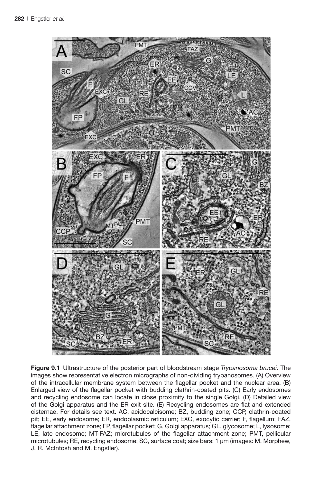

**Figure 9.1** Ultrastructure of the posterior part of bloodstream stage *Trypanosoma brucei*. The images show representative electron micrographs of non-dividing trypanosomes. (A) Overview of the intracellular membrane system between the flagellar pocket and the nuclear area. (B) Enlarged view of the flagellar pocket with budding clathrin-coated pits. (C) Early endosomes and recycling endosome can locate in close proximity to the single Golgi. (D) Detailed view of the Golgi apparatus and the ER exit site. (E) Recycling endosomes are flat and extended cisternae. For details see text. AC, acidocalcisome; BZ, budding zone; CCP, clathrin-coated pit; EE, early endosome; ER, endoplasmic reticulum; EXC, exocytic carrier; F, flagellum; FAZ, flagellar attachment zone; FP, flagellar pocket; G, Golgi apparatus; GL, glycosome; L, lysosome; LE, late endosome; MT-FAZ; microtubules of the flagellar attachment zone; PMT, pellicular microtubules; RE, recycling endosome; SC, surface coat; size bars: 1 µm (images: M. Morphew, J. R. McIntosh and M. Engstler).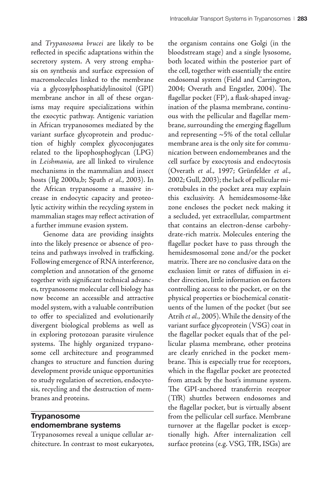and Trypanosoma brucei are likely to be reflected in specific adaptations within the secretory system. A very strong emphasis on synthesis and surface expression of macromolecules linked to the membrane via a glycosylphosphatidylinositol (GPI) membrane anchor in all of these organisms may require specializations within the exocytic pathway. Antigenic variation in African trypanosomes mediated by the variant surface glycoprotein and production of highly complex glycoconjugates related to the lipophosphoglycan (LPG) in Leishmania, are all linked to virulence mechanisms in the mammalian and insect hosts (Ilg 2000a,b; Spath et al., 2003). In the African trypanosome a massive increase in endocytic capacity and proteolytic activity within the recycling system in mammalian stages may reflect activation of a further immune evasion system.

Genome data are providing insights into the likely presence or absence of proteins and pathways involved in trafficking. Following emergence of RNA interference, completion and annotation of the genome together with significant technical advances, trypanosome molecular cell biology has now become an accessible and attractive model system, with a valuable contribution to offer to specialized and evolutionarily divergent biological problems as well as in exploring protozoan parasite virulence systems. The highly organized trypanosome cell architecture and programmed changes to structure and function during development provide unique opportunities to study regulation of secretion, endocytosis, recycling and the destruction of membranes and proteins.

# **Trypanosome endomembrane systems**

Trypanosomes reveal a unique cellular architecture. In contrast to most eukaryotes,

the organism contains one Golgi (in the bloodstream stage) and a single lysosome, both located within the posterior part of the cell, together with essentially the entire endosomal system (Field and Carrington, 2004; Overath and Engstler, 2004). The flagellar pocket (FP), a flask-shaped invagination of the plasma membrane, continuous with the pellicular and flagellar membrane, surrounding the emerging flagellum and representing  $~5\%$  of the total cellular membrane area is the only site for communication between endomembranes and the cell surface by exocytosis and endocytosis (Overath et al., 1997; Grünfelder et al., 2002; Gull, 2003); the lack of pellicular microtubules in the pocket area may explain this exclusivity. A hemidesmosome-like zone encloses the pocket neck making it a secluded, yet extracellular, compartment that contains an electron-dense carbohydrate-rich matrix. Molecules entering the flagellar pocket have to pass through the hemidesmosomal zone and/or the pocket matrix. There are no conclusive data on the exclusion limit or rates of diffusion in either direction, little information on factors controlling access to the pocket, or on the physical properties or biochemical constituents of the lumen of the pocket (but see Atrih et al., 2005). While the density of the variant surface glycoprotein (VSG) coat in the flagellar pocket equals that of the pellicular plasma membrane, other proteins are clearly enriched in the pocket membrane. This is especially true for receptors, which in the flagellar pocket are protected from attack by the host's immune system. The GPI-anchored transferrin receptor (TfR) shuttles between endosomes and the flagellar pocket, but is virtually absent from the pellicular cell surface. Membrane turnover at the flagellar pocket is exceptionally high. After internalization cell surface proteins (e.g. VSG, TfR, ISGs) are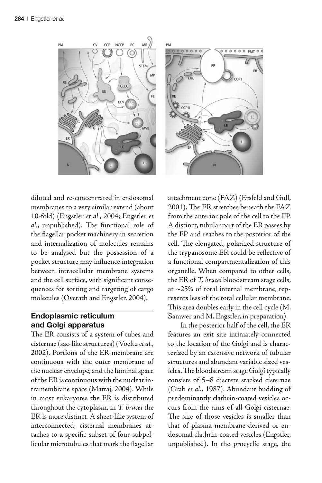

diluted and re-concentrated in endosomal membranes to a very similar extend (about 10-fold) (Engstler et al., 2004; Engstler et al., unpublished). The functional role of the flagellar pocket machinery in secretion and internalization of molecules remains to be analysed but the possession of a pocket structure may influence integration between intracellular membrane systems and the cell surface, with significant consequences for sorting and targeting of cargo molecules (Overath and Engstler, 2004).

# **Endoplasmic reticulum and Golgi apparatus**

The ER consists of a system of tubes and cisternae (sac-like structures) (Voeltz et al., 2002). Portions of the ER membrane are continuous with the outer membrane of the nuclear envelope, and the luminal space of the ER is continuous with the nuclear intramembrane space (Mattaj, 2004). While in most eukaryotes the ER is distributed throughout the cytoplasm, in T. brucei the ER is more distinct. A sheet-like system of interconnected, cisternal membranes attaches to a specific subset of four subpellicular microtubules that mark the flagellar attachment zone (FAZ) (Ersfeld and Gull,  $2001$ ). The ER stretches beneath the FAZ from the anterior pole of the cell to the FP. A distinct, tubular part of the ER passes by the FP and reaches to the posterior of the cell. The elongated, polarized structure of the trypanosome ER could be reflective of a functional compartmentalization of this organelle. When compared to other cells, the ER of T. brucei bloodstream stage cells, at ~25% of total internal membrane, represents less of the total cellular membrane. This area doubles early in the cell cycle (M. Samwer and M. Engstler, in preparation).

In the posterior half of the cell, the ER features an exit site intimately connected to the location of the Golgi and is characterized by an extensive network of tubular structures and abundant variable sized vesicles. The bloodstream stage Golgi typically consists of 5–8 discrete stacked cisternae (Grab et al., 1987). Abundant budding of predominantly clathrin-coated vesicles occurs from the rims of all Golgi-cisternae. The size of those vesicles is smaller than that of plasma membrane-derived or endosomal clathrin-coated vesicles (Engstler, unpublished). In the procyclic stage, the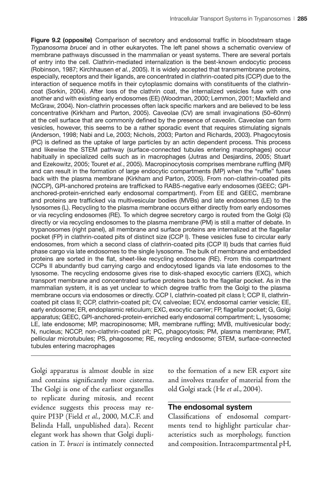**Figure 9.2 (opposite)** Comparison of secretory and endosomal traffic in bloodstream stage *Trypanosoma brucei* and in other eukaryotes. The left panel shows a schematic overview of membrane pathways discussed in the mammalian or yeast systems. There are several portals of entry into the cell. Clathrin-mediated internalization is the best-known endocytic process (Robinson, 1987; Kirchhausen *et al.*, 2005). It is widely accepted that transmembrane proteins, especially, receptors and their ligands, are concentrated in clathrin-coated pits (CCP) due to the interaction of sequence motifs in their cytoplasmic domains with constituents of the clathrincoat (Sorkin, 2004). After loss of the clathrin coat, the internalized vesicles fuse with one another and with existing early endosomes (EE) (Woodman, 2000; Lemmon, 2001; Maxfield and McGraw, 2004). Non-clathrin processes often lack specific markers and are believed to be less concentrative (Kirkham and Parton, 2005). Caveolae (CV) are small invaginations (50–60nm) at the cell surface that are commonly defined by the presence of caveolin. Caveolae can form vesicles, however, this seems to be a rather sporadic event that requires stimulating signals (Anderson, 1998; Nabi and Le, 2003; Nichols, 2003; Parton and Richards, 2003). Phagocytosis (PC) is defined as the uptake of large particles by an actin dependent process. This process and likewise the STEM pathway (surface-connected tubules entering macrophages) occur habitually in specialized cells such as in macrophages (Jutras and Desjardins, 2005; Stuart and Ezekowitz, 2005; Touret *et al.*, 2005). Macropinocytosis comprises membrane ruffling (MR) and can result in the formation of large endocytic compartments (MP) when the "ruffle" fuses back with the plasma membrane (Kirkham and Parton, 2005). From non-clathrin-coated pits (NCCP), GPI-anchored proteins are trafficked to RAB5-negative early endosomes (GEEC; GPIanchored-protein-enriched early endosomal compartment). From EE and GEEC, membrane and proteins are trafficked via multivesicular bodies (MVBs) and late endosomes (LE) to the lysosomes (L). Recycling to the plasma membrane occurs either directly from early endosomes or via recycling endosomes (RE). To which degree secretory cargo is routed from the Golgi (G) directly or via recycling endosomes to the plasma membrane (PM) is still a matter of debate. In trypanosomes (right panel), all membrane and surface proteins are internalized at the flagellar pocket (FP) in clathrin-coated pits of distinct size (CCP I). These vesicles fuse to circular early endosomes, from which a second class of clathrin-coated pits (CCP II) buds that carries fluid phase cargo via late endosomes to the single lysosome. The bulk of membrane and embedded proteins are sorted in the flat, sheet-like recycling endosome (RE). From this compartment CCPs II abundantly bud carrying cargo and endocytosed ligands via late endosomes to the lysosome. The recycling endosome gives rise to disk-shaped exocytic carriers (EXC), which transport membrane and concentrated surface proteins back to the flagellar pocket. As in the mammalian system, it is as yet unclear to which degree traffic from the Golgi to the plasma membrane occurs via endosomes or directly. CCP I, clathrin-coated pit class I; CCP II, clathrincoated pit class II; CCP, clathrin-coated pit; CV, calveolae; ECV, endosomal carrier vesicle; EE, early endosome; ER, endoplasmic reticulum; EXC, exocytic carrier; FP, flagellar pocket; G, Golgi apparatus; GEEC, GPI-anchored-protein-enriched early endosomal compartment; L, lysosome; LE, late endosome; MP, macropinosome; MR, membrane ruffling; MVB, multivesicular body; N, nucleus; NCCP, non-clathrin-coated pit; PC, phagocytosis; PM, plasma membrane; PMT, pellicular microtubules; PS, phagosome; RE, recycling endosome; STEM, surface-connected tubules entering macrophages

Golgi apparatus is almost double in size and contains significantly more cisterna. The Golgi is one of the earliest organelles to replicate during mitosis, and recent evidence suggests this process may require PI3P (Field et al., 2000, M.C.F. and Belinda Hall, unpublished data). Recent elegant work has shown that Golgi duplication in T. brucei is intimately connected to the formation of a new ER export site and involves transfer of material from the old Golgi stack (He et al., 2004).

#### **The endosomal system**

Classifications of endosomal compartments tend to highlight particular characteristics such as morphology, function and composition. Intracompartmental pH,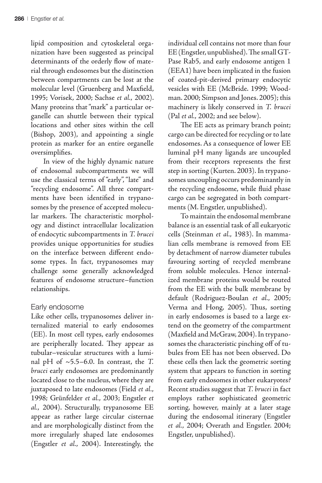lipid composition and cytoskeletal organization have been suggested as principal determinants of the orderly flow of material through endosomes but the distinction between compartments can be lost at the molecular level (Gruenberg and Maxfield, 1995; Vorisek, 2000; Sachse et al., 2002). Many proteins that "mark" a particular organelle can shuttle between their typical locations and other sites within the cell (Bishop, 2003), and appointing a single protein as marker for an entire organelle oversimplifies.

In view of the highly dynamic nature of endosomal subcompartments we will use the classical terms of "early", "late" and "recycling endosome". All three compartments have been identified in trypanosomes by the presence of accepted molecular markers. The characteristic morphology and distinct intracellular localization of endocytic subcompartments in T. brucei provides unique opportunities for studies on the interface between different endosome types. In fact, trypanosomes may challenge some generally acknowledged features of endosome structure–function relationships.

# Early endosome

Like other cells, trypanosomes deliver internalized material to early endosomes (EE). In most cell types, early endosomes are peripherally located. They appear as tubular–vesicular structures with a luminal pH of  $\sim$ 5.5–6.0. In contrast, the T. brucei early endosomes are predominantly located close to the nucleus, where they are juxtaposed to late endosomes (Field et al., 1998; Grünfelder et al., 2003; Engstler et al., 2004). Structurally, trypanosome EE appear as rather large circular cisternae and are morphologically distinct from the more irregularly shaped late endosomes (Engstler et al., 2004). Interestingly, the

individual cell contains not more than four EE (Engstler, unpublished). The small GT-Pase Rab5, and early endosome antigen 1 (EEA1) have been implicated in the fusion of coated-pit-derived primary endocytic vesicles with EE (McBride. 1999; Woodman. 2000; Simpson and Jones. 2005); this machinery is likely conserved in T. brucei (Pal et al., 2002; and see below).

The EE acts as primary branch point; cargo can be directed for recycling or to late endosomes. As a consequence of lower EE luminal pH many ligands are uncoupled from their receptors represents the first step in sorting (Kurten. 2003). In trypanosomes uncoupling occurs predominantly in the recycling endosome, while fluid phase cargo can be segregated in both compartments (M. Engstler, unpublished).

To maintain the endosomal membrane balance is an essential task of all eukaryotic cells (Steinman et al., 1983). In mammalian cells membrane is removed from EE by detachment of narrow diameter tubules favouring sorting of recycled membrane from soluble molecules. Hence internalized membrane proteins would be routed from the EE with the bulk membrane by default (Rodriguez-Boulan et al., 2005; Verma and Hong, 2005). Thus, sorting in early endosomes is based to a large extend on the geometry of the compartment (Maxfield and McGraw, 2004). In trypanosomes the characteristic pinching off of tubules from EE has not been observed. Do these cells then lack the geometric sorting system that appears to function in sorting from early endosomes in other eukaryotes? Recent studies suggest that T. brucei in fact employs rather sophisticated geometric sorting, however, mainly at a later stage during the endosomal itinerary (Engstler et al., 2004; Overath and Engstler. 2004; Engstler, unpublished).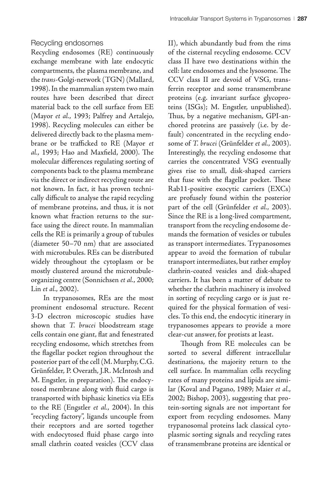#### Recycling endosomes

Recycling endosomes (RE) continuously exchange membrane with late endocytic compartments, the plasma membrane, and the trans-Golgi-network (TGN) (Mallard, 1998). In the mammalian system two main routes have been described that direct material back to the cell surface from EE (Mayor et al., 1993; Palfrey and Artalejo, 1998). Recycling molecules can either be delivered directly back to the plasma membrane or be trafficked to RE (Mayor et al., 1993; Hao and Maxfield, 2000). The molecular differences regulating sorting of components back to the plasma membrane via the direct or indirect recycling route are not known. In fact, it has proven technically difficult to analyse the rapid recycling of membrane proteins, and thus, it is not known what fraction returns to the surface using the direct route. In mammalian cells the RE is primarily a group of tubules (diameter 50–70 nm) that are associated with microtubules. REs can be distributed widely throughout the cytoplasm or be mostly clustered around the microtubuleorganizing centre (Sonnichsen et al., 2000; Lin et al., 2002).

In trypanosomes, REs are the most prominent endosomal structure. Recent 3-D electron microscopic studies have shown that T. brucei bloodstream stage cells contain one giant, flat and fenestrated recycling endosome, which stretches from the flagellar pocket region throughout the posterior part of the cell (M. Murphy, C.G. Grünfelder, P. Overath, J.R. McIntosh and M. Engstler, in preparation). The endocytosed membrane along with fluid cargo is transported with biphasic kinetics via EEs to the RE (Engstler et al., 2004). In this "recycling factory", ligands uncouple from their receptors and are sorted together with endocytosed fluid phase cargo into small clathrin coated vesicles (CCV class II), which abundantly bud from the rims of the cisternal recycling endosome. CCV class II have two destinations within the cell: late endosomes and the lysosome. The CCV class II are devoid of VSG, transferrin receptor and some transmembrane proteins (e.g. invariant surface glycoproteins (ISGs); M. Engstler, unpublished). Thus, by a negative mechanism, GPI-anchored proteins are passively (i.e. by default) concentrated in the recycling endosome of T. brucei (Grünfelder et al., 2003). Interestingly, the recycling endosome that carries the concentrated VSG eventually gives rise to small, disk-shaped carriers that fuse with the flagellar pocket. These Rab11-positive exocytic carriers (EXCs) are profusely found within the posterior part of the cell (Grünfelder et al., 2003). Since the RE is a long-lived compartment, transport from the recycling endosome demands the formation of vesicles or tubules as transport intermediates. Trypanosomes appear to avoid the formation of tubular transport intermediates, but rather employ clathrin-coated vesicles and disk-shaped carriers. It has been a matter of debate to whether the clathrin machinery is involved in sorting of recycling cargo or is just required for the physical formation of vesicles. To this end, the endocytic itinerary in trypanosomes appears to provide a more clear-cut answer, for protists at least.

Though from RE molecules can be sorted to several different intracellular destinations, the majority return to the cell surface. In mammalian cells recycling rates of many proteins and lipids are similar (Koval and Pagano, 1989; Maier et al., 2002; Bishop, 2003), suggesting that protein-sorting signals are not important for export from recycling endosomes. Many trypanosomal proteins lack classical cytoplasmic sorting signals and recycling rates of transmembrane proteins are identical or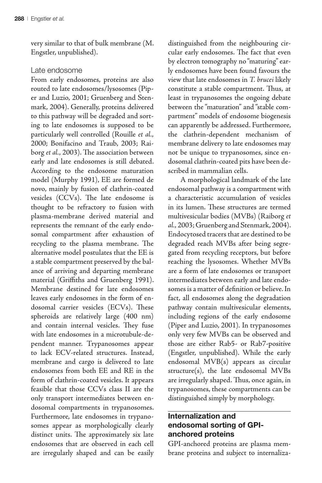very similar to that of bulk membrane (M. Engstler, unpublished).

#### Late endosome

From early endosomes, proteins are also routed to late endosomes/lysosomes (Piper and Luzio, 2001; Gruenberg and Stenmark, 2004). Generally, proteins delivered to this pathway will be degraded and sorting to late endosomes is supposed to be particularly well controlled (Rouille et al., 2000; Bonifacino and Traub, 2003; Raiborg et al., 2003). The association between early and late endosomes is still debated. According to the endosome maturation model (Murphy 1991), EE are formed de novo, mainly by fusion of clathrin-coated vesicles (CCVs). The late endosome is thought to be refractory to fusion with plasma-membrane derived material and represents the remnant of the early endosomal compartment after exhaustion of recycling to the plasma membrane. The alternative model postulates that the EE is a stable compartment preserved by the balance of arriving and departing membrane material (Griffiths and Gruenberg 1991). Membrane destined for late endosomes leaves early endosomes in the form of endosomal carrier vesicles (ECVs). These spheroids are relatively large (400 nm) and contain internal vesicles. They fuse with late endosomes in a microtubule-dependent manner. Trypanosomes appear to lack ECV-related structures. Instead, membrane and cargo is delivered to late endosomes from both EE and RE in the form of clathrin-coated vesicles. It appears feasible that those CCVs class II are the only transport intermediates between endosomal compartments in trypanosomes. Furthermore, late endosomes in trypanosomes appear as morphologically clearly distinct units. The approximately six late endosomes that are observed in each cell are irregularly shaped and can be easily

distinguished from the neighbouring circular early endosomes. The fact that even by electron tomography no "maturing" early endosomes have been found favours the view that late endosomes in T. brucei likely constitute a stable compartment. Thus, at least in trypanosomes the ongoing debate between the "maturation" and "stable compartment" models of endosome biogenesis can apparently be addressed. Furthermore, the clathrin-dependent mechanism of membrane delivery to late endosomes may not be unique to trypanosomes, since endosomal clathrin-coated pits have been described in mammalian cells.

A morphological landmark of the late endosomal pathway is a compartment with a characteristic accumulation of vesicles in its lumen. These structures are termed multivesicular bodies (MVBs) (Raiborg et al., 2003; Gruenberg and Stenmark, 2004). Endocytosed tracers that are destined to be degraded reach MVBs after being segregated from recycling receptors, but before reaching the lysosomes. Whether MVBs are a form of late endosomes or transport intermediates between early and late endosomes is a matter of definition or believe. In fact, all endosomes along the degradation pathway contain multivesicular elements, including regions of the early endosome (Piper and Luzio, 2001). In trypanosomes only very few MVBs can be observed and those are either Rab5- or Rab7-positive (Engstler, unpublished). While the early endosomal MVB(s) appears as circular structure(s), the late endosomal MVBs are irregularly shaped. Thus, once again, in trypanosomes, these compartments can be distinguished simply by morphology.

# **Internalization and endosomal sorting of GPIanchored proteins**

GPI-anchored proteins are plasma membrane proteins and subject to internaliza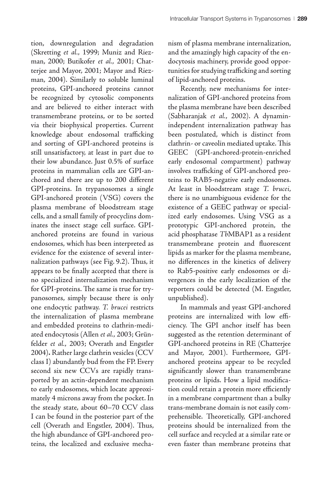tion, downregulation and degradation (Skretting et al., 1999; Muniz and Riezman, 2000; Butikofer et al., 2001; Chatterjee and Mayor, 2001; Mayor and Riezman, 2004). Similarly to soluble luminal proteins, GPI-anchored proteins cannot be recognized by cytosolic components and are believed to either interact with transmembrane proteins, or to be sorted via their biophysical properties. Current knowledge about endosomal trafficking and sorting of GPI-anchored proteins is still unsatisfactory, at least in part due to their low abundance. Just 0.5% of surface proteins in mammalian cells are GPI-anchored and there are up to 200 different GPI-proteins. In trypanosomes a single GPI-anchored protein (VSG) covers the plasma membrane of bloodstream stage cells, and a small family of procyclins dominates the insect stage cell surface. GPIanchored proteins are found in various endosomes, which has been interpreted as evidence for the existence of several internalization pathways (see Fig. 9.2). Thus, it appears to be finally accepted that there is no specialized internalization mechanism for GPI-proteins. The same is true for trypanosomes, simply because there is only one endocytic pathway. T. brucei restricts the internalization of plasma membrane and embedded proteins to clathrin-mediated endocytosis (Allen et al., 2003; Grünfelder et al., 2003; Overath and Engstler 2004)**.** Rather large clathrin vesicles (CCV class I) abundantly bud from the FP. Every second six new CCVs are rapidly transported by an actin-dependent mechanism to early endosomes, which locate approximately 4 microns away from the pocket. In the steady state, about 60–70 CCV class I can be found in the posterior part of the cell (Overath and Engstler, 2004). Thus, the high abundance of GPI-anchored proteins, the localized and exclusive mecha-

nism of plasma membrane internalization, and the amazingly high capacity of the endocytosis machinery, provide good opportunities for studying trafficking and sorting of lipid-anchored proteins.

Recently, new mechanisms for internalization of GPI-anchored proteins from the plasma membrane have been described (Sabharanjak et al., 2002). A dynaminindependent internalization pathway has been postulated, which is distinct from clathrin- or caveolin mediated uptake. This GEEC (GPI-anchored-protein-enriched early endosomal compartment) pathway involves trafficking of GPI-anchored proteins to RAB5-negative early endosomes. At least in bloodstream stage T. brucei, there is no unambiguous evidence for the existence of a GEEC pathway or specialized early endosomes. Using VSG as a prototypic GPI-anchored protein, the acid phosphatase TbMBAP1 as a resident transmembrane protein and fluorescent lipids as marker for the plasma membrane, no differences in the kinetics of delivery to Rab5-positive early endosomes or divergences in the early localization of the reporters could be detected (M. Engstler, unpublished).

In mammals and yeast GPI-anchored proteins are internalized with low efficiency. The GPI anchor itself has been suggested as the retention determinant of GPI-anchored proteins in RE (Chatterjee and Mayor, 2001). Furthermore, GPIanchored proteins appear to be recycled significantly slower than transmembrane proteins or lipids. How a lipid modification could retain a protein more efficiently in a membrane compartment than a bulky trans-membrane domain is not easily comprehensible. Theoretically, GPI-anchored proteins should be internalized from the cell surface and recycled at a similar rate or even faster than membrane proteins that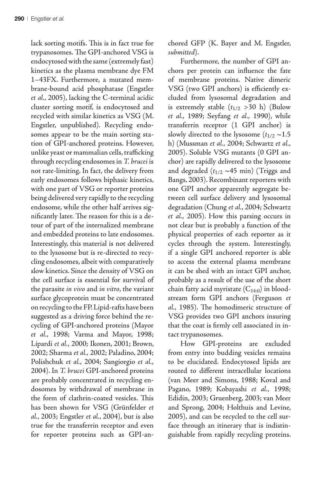lack sorting motifs. This is in fact true for trypanosomes. The GPI-anchored VSG is endocytosed with the same (extremely fast) kinetics as the plasma membrane dye FM 1–43FX. Furthermore, a mutated membrane-bound acid phosphatase (Engstler et al., 2005), lacking the C-terminal acidic cluster sorting motif, is endocytosed and recycled with similar kinetics as VSG (M. Engstler, unpublished). Recycling endosomes appear to be the main sorting station of GPI-anchored proteins. However, unlike yeast or mammalian cells, trafficking through recycling endosomes in T. brucei is not rate-limiting. In fact, the delivery from early endosomes follows biphasic kinetics, with one part of VSG or reporter proteins being delivered very rapidly to the recycling endosome, while the other half arrives significantly later. The reason for this is a detour of part of the internalized membrane and embedded proteins to late endosomes. Interestingly, this material is not delivered to the lysosome but is re-directed to recycling endosomes, albeit with comparatively slow kinetics. Since the density of VSG on the cell surface is essential for survival of the parasite in vivo and in vitro, the variant surface glycoprotein must be concentrated on recycling to the FP. Lipid-rafts have been suggested as a driving force behind the recycling of GPI-anchored proteins (Mayor et al., 1998; Varma and Mayor, 1998; Lipardi et al., 2000; Ikonen, 2001; Brown, 2002; Sharma et al., 2002; Paladino, 2004; Polishchuk et al., 2004; Sangiorgio et al., 2004). In T. brucei GPI-anchored proteins are probably concentrated in recycling endosomes by withdrawal of membrane in the form of clathrin-coated vesicles. This has been shown for VSG (Grünfelder et al., 2003; Engstler et al., 2004), but is also true for the transferrin receptor and even for reporter proteins such as GPI-an-

chored GFP (K. Bayer and M. Engstler, submitted).

Furthermore, the number of GPI anchors per protein can influence the fate of membrane proteins. Native dimeric VSG (two GPI anchors) is efficiently excluded from lysosomal degradation and is extremely stable  $(t_{1/2} > 30 \text{ h})$  (Bulow et al., 1989; Seyfang et al., 1990), while transferrin receptor (1 GPI anchor) is slowly directed to the lysosome  $(t_{1/2} \sim 1.5$ h) (Mussman et al., 2004; Schwartz et al., 2005). Soluble VSG mutants (0 GPI anchor) are rapidly delivered to the lysosome and degraded  $(t_{1/2} \sim 45 \text{ min})$  (Triggs and Bangs, 2003). Recombinant reporters with one GPI anchor apparently segregate between cell surface delivery and lysosomal degradation (Chung et al., 2004; Schwartz et al., 2005). How this parsing occurs in not clear but is probably a function of the physical properties of each reporter as it cycles through the system. Interestingly, if a single GPI anchored reporter is able to access the external plasma membrane it can be shed with an intact GPI anchor, probably as a result of the use of the short chain fatty acid myristate  $(C_{14:0})$  in bloodstream form GPI anchors (Ferguson et al., 1985). The homodimeric structure of VSG provides two GPI anchors insuring that the coat is firmly cell associated in intact trypanosomes.

How GPI-proteins are excluded from entry into budding vesicles remains to be elucidated. Endocytosed lipids are routed to different intracellular locations (van Meer and Simons, 1988; Koval and Pagano, 1989; Kobayashi et al., 1998; Edidin, 2003; Gruenberg, 2003; van Meer and Sprong, 2004; Holthuis and Levine, 2005), and can be recycled to the cell surface through an itinerary that is indistinguishable from rapidly recycling proteins.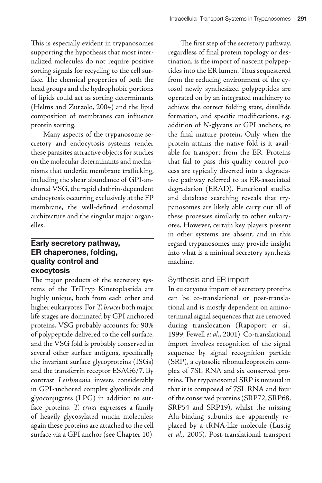This is especially evident in trypanosomes supporting the hypothesis that most internalized molecules do not require positive sorting signals for recycling to the cell surface. The chemical properties of both the head groups and the hydrophobic portions of lipids could act as sorting determinants (Helms and Zurzolo, 2004) and the lipid composition of membranes can influence protein sorting.

Many aspects of the trypanosome secretory and endocytosis systems render these parasites attractive objects for studies on the molecular determinants and mechanisms that underlie membrane trafficking, including the shear abundance of GPI-anchored VSG, the rapid clathrin-dependent endocytosis occurring exclusively at the FP membrane, the well-defined endosomal architecture and the singular major organelles.

# **Early secretory pathway, ER chaperones, folding, quality control and exocytosis**

The major products of the secretory systems of the TriTryp Kinetoplastida are highly unique, both from each other and higher eukaryotes. For T. brucei both major life stages are dominated by GPI anchored proteins. VSG probably accounts for 90% of polypeptide delivered to the cell surface, and the VSG fold is probably conserved in several other surface antigens, specifically the invariant surface glycoproteins (ISGs) and the transferrin receptor ESAG6/7. By contrast Leishmania invests considerably in GPI-anchored complex glycolipids and glyoconjugates (LPG) in addition to surface proteins. T. cruzi expresses a family of heavily glycosylated mucin molecules; again these proteins are attached to the cell surface via a GPI anchor (see Chapter 10).

The first step of the secretory pathway, regardless of final protein topology or destination, is the import of nascent polypeptides into the ER lumen. Thus sequestered from the reducing environment of the cytosol newly synthesized polypeptides are operated on by an integrated machinery to achieve the correct folding state, disulfide formation, and specific modifications, e.g. addition of N-glycans or GPI anchors, to the final mature protein. Only when the protein attains the native fold is it available for transport from the ER. Proteins that fail to pass this quality control process are typically diverted into a degradative pathway referred to as ER-associated degradation (ERAD). Functional studies and database searching reveals that trypanosomes are likely able carry out all of these processes similarly to other eukaryotes. However, certain key players present in other systems are absent, and in this regard trypanosomes may provide insight into what is a minimal secretory synthesis machine.

# Synthesis and ER import

In eukaryotes import of secretory proteins can be co-translational or post-translational and is mostly dependent on aminoterminal signal sequences that are removed during translocation (Rapoport et al., 1999; Fewell et al., 2001). Co-translational import involves recognition of the signal sequence by signal recognition particle (SRP), a cytosolic ribonucleoprotein complex of 7SL RNA and six conserved proteins. The trypanosomal SRP is unusual in that it is composed of 7SL RNA and four of the conserved proteins (SRP72, SRP68, SRP54 and SRP19), whilst the missing Alu-binding subunits are apparently replaced by a tRNA-like molecule (Lustig et al., 2005). Post-translational transport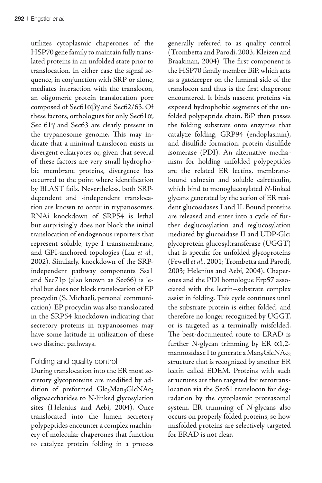utilizes cytoplasmic chaperones of the HSP70 gene family to maintain fully translated proteins in an unfolded state prior to translocation. In either case the signal sequence, in conjunction with SRP or alone, mediates interaction with the translocon, an oligomeric protein translocation pore composed of  $Sec61\alpha\beta\gamma$  and  $Sec62/63$ . Of these factors, orthologues for only Sec61A, Sec  $61\gamma$  and Sec $63$  are clearly present in the trypanosome genome. This may indicate that a minimal translocon exists in divergent eukaryotes or, given that several of these factors are very small hydrophobic membrane proteins, divergence has occurred to the point where identification by BLAST fails. Nevertheless, both SRPdependent and -independent translocation are known to occur in trypanosomes. RNAi knockdown of SRP54 is lethal but surprisingly does not block the initial translocation of endogenous reporters that represent soluble, type I transmembrane, and GPI-anchored topologies (Liu et al., 2002). Similarly, knockdown of the SRPindependent pathway components Ssa1 and Sec71p (also known as Sec66) is lethal but does not block translocation of EP procyclin (S. Michaeli, personal communication). EP procyclin was also translocated in the SRP54 knockdown indicating that secretory proteins in trypanosomes may have some latitude in utilization of these two distinct pathways.

#### Folding and quality control

During translocation into the ER most secretory glycoproteins are modified by addition of preformed Glc3Man9GlcNAc2 oligosaccharides to N-linked glycosylation sites (Helenius and Aebi, 2004). Once translocated into the lumen secretory polypeptides encounter a complex machinery of molecular chaperones that function to catalyze protein folding in a process generally referred to as quality control (Trombetta and Parodi, 2003; Kleizen and Braakman, 2004). The first component is the HSP70 family member BiP, which acts as a gatekeeper on the luminal side of the translocon and thus is the first chaperone encountered. It binds nascent proteins via exposed hydrophobic segments of the unfolded polypeptide chain. BiP then passes the folding substrate onto enzymes that catalyze folding, GRP94 (endoplasmin), and disulfide formation, protein disulfide isomerase (PDI). An alternative mechanism for holding unfolded polypeptides are the related ER lectins, membranebound calnexin and soluble calreticulin, which bind to monoglucosylated N-linked glycans generated by the action of ER resident glucosidases I and II. Bound proteins are released and enter into a cycle of further deglucosylation and reglucosylation mediated by glucosidase II and UDP-Glc: glycoprotein glucosyltransferase (UGGT) that is specific for unfolded glycoproteins (Fewell et al., 2001; Trombetta and Parodi, 2003; Helenius and Aebi, 2004). Chaperones and the PDI homologue Erp57 associated with the lectin–substrate complex assist in folding. This cycle continues until the substrate protein is either folded, and therefore no longer recognized by UGGT, or is targeted as a terminally misfolded. The best-documented route to ERAD is further N-glycan trimming by ER  $\alpha$ 1,2mannosidase I to generate a Man<sub>8</sub>GlcNAc<sub>2</sub> structure that is recognized by another ER lectin called EDEM. Proteins with such structures are then targeted for retrotranslocation via the Sec61 translocon for degradation by the cytoplasmic proteasomal system. ER trimming of N-glycans also occurs on properly folded proteins, so how misfolded proteins are selectively targeted for ERAD is not clear.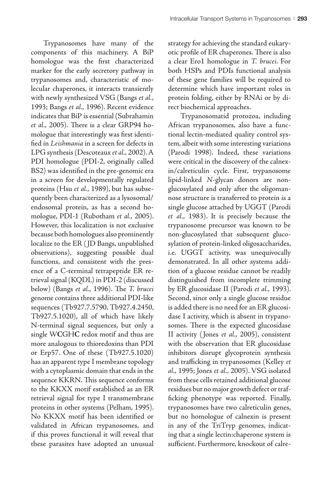Trypanosomes have many of the components of this machinery. A BiP homologue was the first characterized marker for the early secretory pathway in trypanosomes and, characteristic of molecular chaperones, it interacts transiently with newly synthesized VSG (Bangs et al., 1993; Bangs et al., 1996). Recent evidence indicates that BiP is essential (Subrahamin et al., 2005). There is a clear GRP94 homologue that interestingly was first identified in Leishmania in a screen for defects in LPG synthesis (Descoteaux et al., 2002). A PDI homologue (PDI-2, originally called BS2) was identified in the pre-genomic era in a screen for developmentally regulated proteins (Hsu et al., 1989), but has subsequently been characterized as a lysosomal/ endosomal protein, as has a second homologue, PDI-1 (Rubotham et al., 2005). However, this localization is not exclusive because both homologues also prominently localize to the ER ( JD Bangs, unpublished observations), suggesting possible dual functions, and consistent with the presence of a C-terminal tetrapeptide ER retrieval signal (KQDL) in PDI-2 (discussed below) (Bangs et al., 1996). The T. brucei genome contains three additional PDI-like sequences (Tb927.7.5790, Tb927.4.2450, Tb927.5.1020), all of which have likely N-terminal signal sequences, but only a single W**C**GH**C** redox motif and thus are more analogous to thioredoxins than PDI or Erp57. One of these (Tb927.5.1020) has an apparent type I membrane topology with a cytoplasmic domain that ends in the sequence KKRN. This sequence conforms to the KKXX motif established as an ER retrieval signal for type I transmembrane proteins in other systems (Pelham, 1995). No KKXX motif has been identified or validated in African trypanosomes, and if this proves functional it will reveal that these parasites have adopted an unusual

strategy for achieving the standard eukaryotic profile of ER chaperones. There is also a clear Ero1 homologue in T. brucei. For both HSPs and PDIs functional analysis of these gene families will be required to determine which have important roles in protein folding, either by RNAi or by direct biochemical approaches.

Trypanosomatid protozoa, including African trypanosomes, also have a functional lectin-mediated quality control system, albeit with some interesting variations (Parodi 1998). Indeed, these variations were critical in the discovery of the calnexin/calreticulin cycle. First, trypanosome lipid-linked N-glycan donors are nonglucosylated and only after the oligomannose structure is transferred to protein is a single glucose attached by UGGT (Parodi et al., 1983). It is precisely because the trypanosome precursor was known to be non-glucosylated that subsequent glucosylation of protein-linked oligosaccharides, i.e. UGGT activity, was unequivocally demonstrated. In all other systems addition of a glucose residue cannot be readily distinguished from incomplete trimming by ER glucosidase II (Parodi et al., 1993). Second, since only a single glucose residue is added there is no need for an ER glucosidase I activity, which is absent in trypanosomes. There is the expected glucosidase II activity ( Jones et al., 2005), consistent with the observation that ER glucosidase inhibitors disrupt glycoprotein synthesis and trafficking in trypanosomes (Kelley et al., 1995; Jones et al., 2005). VSG isolated from these cells retained additional glucose residues but no major growth defect or trafficking phenotype was reported. Finally, trypanosomes have two calreticulin genes, but no homologue of calnexin is present in any of the TriTryp genomes, indicating that a single lectin:chaperone system is sufficient. Furthermore, knockout of calre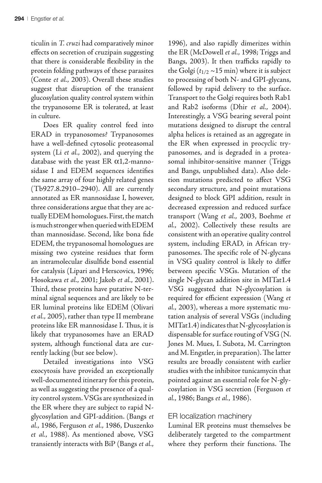ticulin in T. cruzi had comparatively minor effects on secretion of cruzipain suggesting that there is considerable flexibility in the protein folding pathways of these parasites (Conte et al., 2003). Overall these studies suggest that disruption of the transient glucosylation quality control system within the trypanosome ER is tolerated, at least in culture.

Does ER quality control feed into ERAD in trypanosomes? Trypanosomes have a well-defined cytosolic proteasomal system (Li et al., 2002), and querying the database with the yeast ER  $\alpha$ 1,2-mannosidase I and EDEM sequences identifies the same array of four highly related genes (Tb927.8.2910–2940). All are currently annotated as ER mannosidase I, however, three considerations argue that they are actually EDEM homologues. First, the match is much stronger when queried with EDEM than mannosidase. Second, like bona fide EDEM, the trypanosomal homologues are missing two cysteine residues that form an intramolecular disulfide bond essential for catalysis (Lipari and Herscovics, 1996; Hosokawa et al., 2001; Jakob et al., 2001). Third, these proteins have putative N-terminal signal sequences and are likely to be ER luminal proteins like EDEM (Olivari et al., 2005), rather than type II membrane proteins like ER mannosidase I. Thus, it is likely that trypanosomes have an ERAD system, although functional data are currently lacking (but see below).

Detailed investigations into VSG exocytosis have provided an exceptionally well-documented itinerary for this protein, as well as suggesting the presence of a quality control system. VSGs are synthesized in the ER where they are subject to rapid Nglycosylation and GPI-addition. (Bangs et al., 1986, Ferguson et al., 1986, Duszenko et al., 1988). As mentioned above, VSG transiently interacts with BiP (Bangs et al.,

1996), and also rapidly dimerizes within the ER (McDowell et al., 1998; Triggs and Bangs, 2003). It then trafficks rapidly to the Golgi ( $t_{1/2}$  ~15 min) where it is subject to processing of both N- and GPI-glycans, followed by rapid delivery to the surface. Transport to the Golgi requires both Rab1 and Rab2 isoforms (Dhir et al., 2004). Interestingly, a VSG bearing several point mutations designed to disrupt the central alpha helices is retained as an aggregate in the ER when expressed in procyclic trypanosomes, and is degraded in a proteasomal inhibitor-sensitive manner (Triggs and Bangs, unpublished data). Also deletion mutations predicted to affect VSG secondary structure, and point mutations designed to block GPI addition, result in decreased expression and reduced surface transport (Wang et al., 2003, Boehme et al., 2002). Collectively these results are consistent with an operative quality control system, including ERAD, in African trypanosomes. The specific role of N-glycans in VSG quality control is likely to differ between specific VSGs. Mutation of the single N-glycan addition site in MITat1.4 VSG suggested that N-glycosylation is required for efficient expression (Wang et al., 2003), whereas a more systematic mutation analysis of several VSGs (including MITat1.4) indicates that N-glycosylation is dispensable for surface routing of VSG (N. Jones M. Mues, I. Subota, M. Carrington and M. Engstler, in preparation). The latter results are broadly consistent with earlier studies with the inhibitor tunicamycin that pointed against an essential role for N-glycosylation in VSG secretion (Ferguson et al., 1986; Bangs et al., 1986).

#### ER localization machinery

Luminal ER proteins must themselves be deliberately targeted to the compartment where they perform their functions. The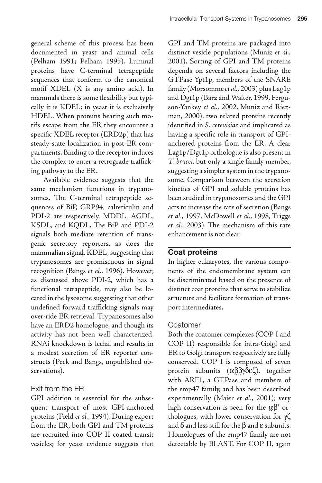general scheme of this process has been documented in yeast and animal cells (Pelham 1991; Pelham 1995). Luminal proteins have C-terminal tetrapeptide sequences that conform to the canonical motif XDEL (X is any amino acid). In mammals there is some flexibility but typically it is KDEL; in yeast it is exclusively HDEL. When proteins bearing such motifs escape from the ER they encounter a specific XDEL receptor (ERD2p) that has steady-state localization in post-ER compartments. Binding to the receptor induces the complex to enter a retrograde trafficking pathway to the ER.

Available evidence suggests that the same mechanism functions in trypanosomes. The C-terminal tetrapeptide sequences of BiP, GRP94, calreticulin and PDI-2 are respectively, MDDL, AGDL, KSDL, and KQDL. The BiP and PDI-2 signals both mediate retention of transgenic secretory reporters, as does the mammalian signal, KDEL, suggesting that trypanosomes are promiscuous in signal recognition (Bangs et al., 1996). However, as discussed above PDI-2, which has a functional tetrapeptide, may also be located in the lysosome suggesting that other undefined forward trafficking signals may over-ride ER retrieval. Trypanosomes also have an ERD2 homologue, and though its activity has not been well characterized, RNAi knockdown is lethal and results in a modest secretion of ER reporter constructs (Peck and Bangs, unpublished observations).

# Exit from the ER

GPI addition is essential for the subsequent transport of most GPI-anchored proteins (Field et al., 1994). During export from the ER, both GPI and TM proteins are recruited into COP II-coated transit vesicles; for yeast evidence suggests that GPI and TM proteins are packaged into distinct vesicle populations (Muniz et al., 2001). Sorting of GPI and TM proteins depends on several factors including the GTPase Ypt1p, members of the SNARE family (Morsomme et al., 2003) plus Lag1p and Dgt1p (Barz and Walter, 1999, Ferguson-Yankey et al., 2002, Muniz and Riezman, 2000), two related proteins recently identified in S. cerevisiae and implicated as having a specific role in transport of GPIanchored proteins from the ER. A clear Lag1p/Dgt1p orthologue is also present in T. brucei, but only a single family member, suggesting a simpler system in the trypanosome. Comparison between the secretion kinetics of GPI and soluble proteins has been studied in trypanosomes and the GPI acts to increase the rate of secretion (Bangs et al., 1997, McDowell et al., 1998, Triggs et al., 2003). The mechanism of this rate enhancement is not clear.

# **Coat proteins**

In higher eukaryotes, the various components of the endomembrane system can be discriminated based on the presence of distinct coat proteins that serve to stabilize structure and facilitate formation of transport intermediates.

# Coatomer

Both the coatomer complexes (COP I and COP II) responsible for intra-Golgi and ER to Golgi transport respectively are fully conserved. COP I is composed of seven protein subunits  $(\alpha\beta\beta\gamma\delta\epsilon\zeta)$ , together with ARF1, a GTPase and members of the emp47 family, and has been described experimentally (Maier et al., 2001); very high conservation is seen for the  $\alpha\beta'$  orthologues, with lower conservation for γζ and  $\delta$  and less still for the  $\beta$  and  $\varepsilon$  subunits. Homologues of the emp47 family are not detectable by BLAST. For COP II, again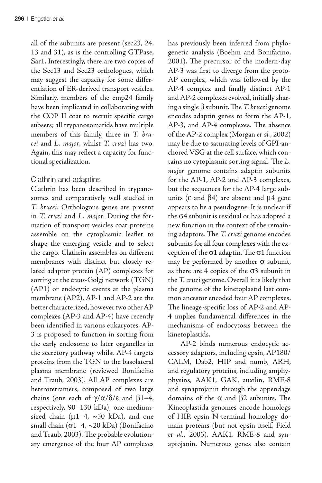all of the subunits are present (sec23, 24, 13 and 31), as is the controlling GTPase, Sar1. Interestingly, there are two copies of the Sec13 and Sec23 orthologues, which may suggest the capacity for some differentiation of ER-derived transport vesicles. Similarly, members of the emp24 family have been implicated in collaborating with the COP II coat to recruit specific cargo subsets; all trypanosomatids have multiple members of this family, three in T. brucei and L. major, whilst T. cruzi has two. Again, this may reflect a capacity for functional specialization.

### Clathrin and adaptins

Clathrin has been described in trypanosomes and comparatively well studied in T. brucei. Orthologous genes are present in T. cruzi and L. major. During the formation of transport vesicles coat proteins assemble on the cytoplasmic leaflet to shape the emerging vesicle and to select the cargo. Clathrin assembles on different membranes with distinct but closely related adaptor protein (AP) complexes for sorting at the trans-Golgi network (TGN) (AP1) or endocytic events at the plasma membrane (AP2). AP-1 and AP-2 are the better characterized, however two other AP complexes (AP-3 and AP-4) have recently been identified in various eukaryotes. AP-3 is proposed to function in sorting from the early endosome to later organelles in the secretory pathway whilst AP-4 targets proteins from the TGN to the basolateral plasma membrane (reviewed Bonifacino and Traub, 2003). All AP complexes are heterotetramers, composed of two large chains (one each of  $\gamma/\alpha/\delta/\epsilon$  and  $\beta1-4$ , respectively, 90–130 kDa), one mediumsized chain ( $\mu$ 1–4, ~50 kDa), and one small chain ( $\sigma$ 1–4, ~20 kDa) (Bonifacino and Traub, 2003). The probable evolutionary emergence of the four AP complexes has previously been inferred from phylogenetic analysis (Boehm and Bonifacino, 2001). The precursor of the modern-day AP-3 was first to diverge from the proto-AP complex, which was followed by the AP-4 complex and finally distinct AP-1 and AP-2 complexes evolved, initially sharing a single  $\beta$  subunit. The T. brucei genome encodes adaptin genes to form the AP-1, AP-3, and AP-4 complexes. The absence of the AP-2 complex (Morgan et al., 2002) may be due to saturating levels of GPI-anchored VSG at the cell surface, which contains no cytoplasmic sorting signal. The  $L$ . major genome contains adaptin subunits for the AP-1, AP-2 and AP-3 complexes, but the sequences for the AP-4 large subunits ( $\varepsilon$  and  $\beta$ 4) are absent and  $\mu$ 4 gene appears to be a pseudogene. It is unclear if the  $\sigma$ 4 subunit is residual or has adopted a new function in the context of the remaining adaptors. The  $T$ . cruzi genome encodes subunits for all four complexes with the exception of the  $\sigma$ 1 adaptin. The  $\sigma$ 1 function may be performed by another  $\sigma$  subunit, as there are 4 copies of the  $\sigma$ 3 subunit in the T. cruzi genome. Overall it is likely that the genome of the kinetoplastid last common ancestor encoded four AP complexes. The lineage-specific loss of AP-2 and AP-4 implies fundamental differences in the mechanisms of endocytosis between the kinetoplastids.

AP-2 binds numerous endocytic accessory adaptors, including epsin, AP180/ CALM, Dab2, HIP and numb, ARH, and regulatory proteins, including amphyphysins, AAK1, GAK, auxilin, RME-8 and synaptojanin through the appendage domains of the  $\alpha$  and  $\beta$ 2 subunits. The Kineoplastida genomes encode homologs of HIP, epsin N-terminal homology domain proteins (but not epsin itself, Field et al., 2005), AAK1, RME-8 and synaptojanin. Numerous genes also contain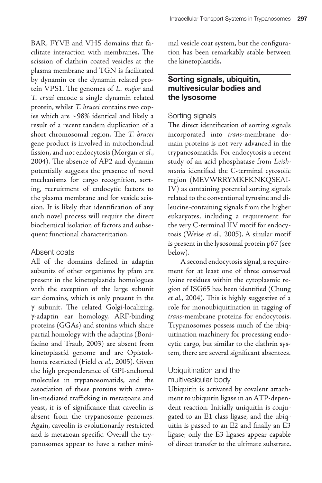BAR, FYVE and VHS domains that facilitate interaction with membranes. The scission of clathrin coated vesicles at the plasma membrane and TGN is facilitated by dynamin or the dynamin related protein VPS1. The genomes of  $L$ . *major* and T. cruzi encode a single dynamin related protein, whilst T. brucei contains two copies which are ~98% identical and likely a result of a recent tandem duplication of a short chromosomal region. The T. brucei gene product is involved in mitochondrial fission, and not endocytosis (Morgan et al., 2004). The absence of AP2 and dynamin potentially suggests the presence of novel mechanisms for cargo recognition, sorting, recruitment of endocytic factors to the plasma membrane and for vesicle scission. It is likely that identification of any such novel process will require the direct biochemical isolation of factors and subsequent functional characterization.

#### Absent coats

All of the domains defined in adaptin subunits of other organisms by pfam are present in the kinetoplastida homologues with the exception of the large subunit ear domains, which is only present in the  $\gamma$  subunit. The related Golgi-localizing, Y-adaptin ear homology, ARF-binding proteins (GGAs) and stonins which share partial homology with the adaptins (Bonifacino and Traub, 2003) are absent from kinetoplastid genome and are Opistokhonta restricted (Field et al., 2005). Given the high preponderance of GPI-anchored molecules in trypanosomatids, and the association of these proteins with caveolin-mediated trafficking in metazoans and yeast, it is of significance that caveolin is absent from the trypanosome genomes. Again, caveolin is evolutionarily restricted and is metazoan specific. Overall the trypanosomes appear to have a rather mini-

mal vesicle coat system, but the configuration has been remarkably stable between the kinetoplastids.

# **Sorting signals, ubiquitin, multivesicular bodies and the lysosome**

#### Sorting signals

The direct identification of sorting signals incorporated into trans-membrane domain proteins is not very advanced in the trypanosomatids. For endocytosis a recent study of an acid phosphatase from Leishmania identified the C-terminal cytosolic region (MEVWRRYMKFKNKQSEAI-IV) as containing potential sorting signals related to the conventional tyrosine and dileucine-containing signals from the higher eukaryotes, including a requirement for the very C-terminal IIV motif for endocytosis (Weise et al., 2005). A similar motif is present in the lysosomal protein p67 (see below).

A second endocytosis signal, a requirement for at least one of three conserved lysine residues within the cytoplasmic region of ISG65 has been identified (Chung et al., 2004). This is highly suggestive of a role for monoubiquitination in tagging of trans-membrane proteins for endocytosis. Trypanosomes possess much of the ubiquitination machinery for processing endocytic cargo, but similar to the clathrin system, there are several significant absentees.

# Ubiquitination and the multivesicular body

Ubiquitin is activated by covalent attachment to ubiquitin ligase in an ATP-dependent reaction. Initially uniquitin is conjugated to an E1 class ligase, and the ubiquitin is passed to an E2 and finally an E3 ligase; only the E3 ligases appear capable of direct transfer to the ultimate substrate.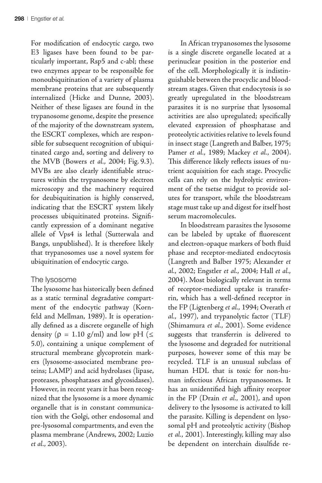For modification of endocytic cargo, two E3 ligases have been found to be particularly important, Rsp5 and c-abl; these two enzymes appear to be responsible for monoubiquitination of a variety of plasma membrane proteins that are subsequently internalized (Hicke and Dunne, 2003). Neither of these ligases are found in the trypanosome genome, despite the presence of the majority of the downstream system, the ESCRT complexes, which are responsible for subsequent recognition of ubiquitinated cargo and, sorting and delivery to the MVB (Bowers et al., 2004; Fig. 9.3). MVBs are also clearly identifiable structures within the trypanosome by electron microscopy and the machinery required for deubiquitination is highly conserved, indicating that the ESCRT system likely processes ubiquitinated proteins. Significantly expression of a dominant negative allele of Vps4 is lethal (Sutterwala and Bangs, unpublished). It is therefore likely that trypanosomes use a novel system for ubiquitination of endocytic cargo.

# The lysosome

The lysosome has historically been defined as a static terminal degradative compartment of the endocytic pathway (Kornfeld and Mellman, 1989). It is operationally defined as a discrete organelle of high density ( $\rho = 1.10$  g/ml) and low pH ( $\leq$ 5.0), containing a unique complement of structural membrane glycoprotein markers (lysosome-associated membrane proteins; LAMP) and acid hydrolases (lipase, proteases, phosphatases and glycosidases). However, in recent years it has been recognized that the lysosome is a more dynamic organelle that is in constant communication with the Golgi, other endosomal and pre-lysosomal compartments, and even the plasma membrane (Andrews, 2002; Luzio et al., 2003).

In African trypanosomes the lysosome is a single discrete organelle located at a perinuclear position in the posterior end of the cell. Morphologically it is indistinguishable between the procyclic and bloodstream stages. Given that endocytosis is so greatly upregulated in the bloodstream parasites it is no surprise that lysosomal activities are also upregulated; specifically elevated expression of phosphatase and proteolytic activities relative to levels found in insect stage (Langreth and Balber, 1975; Pamer et al., 1989; Mackey et al., 2004). This difference likely reflects issues of nutrient acquisition for each stage. Procyclic cells can rely on the hydrolytic environment of the tsetse midgut to provide solutes for transport, while the bloodstream stage must take up and digest for itself host serum macromolecules.

In bloodstream parasites the lysosome can be labeled by uptake of fluorescent and electron-opaque markers of both fluid phase and receptor-mediated endocytosis (Langreth and Balber 1975; Alexander et al., 2002; Engstler et al., 2004; Hall et al., 2004). Most biologically relevant in terms of receptor-mediated uptake is transferrin, which has a well-defined receptor in the FP (Ligtenberg et al., 1994; Overath et al., 1997), and trypanolytic factor (TLF) (Shimamura et al., 2001). Some evidence suggests that transferrin is delivered to the lysosome and degraded for nutritional purposes, however some of this may be recycled. TLF is an unusual subclass of human HDL that is toxic for non-human infectious African trypanosomes. It has an unidentified high affinity receptor in the FP (Drain et al., 2001), and upon delivery to the lysosome is activated to kill the parasite. Killing is dependent on lysosomal pH and proteolytic activity (Bishop et al., 2001). Interestingly, killing may also be dependent on interchain disulfide re-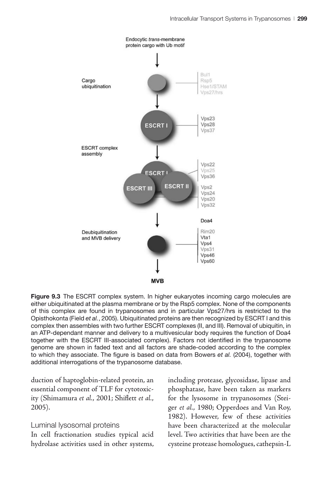

**Figure 9.3** The ESCRT complex system. In higher eukaryotes incoming cargo molecules are either ubiquitinated at the plasma membrane or by the Rsp5 complex. None of the components of this complex are found in trypanosomes and in particular Vps27/hrs is restricted to the Opisthokonta (Field *et al.*, 2005). Ubiquitinated proteins are then recognized by ESCRT I and this complex then assembles with two further ESCRT complexes (II, and III). Removal of ubiquitin, in an ATP-dependant manner and delivery to a multivesicular body requires the function of Doa4 together with the ESCRT III-associated complex). Factors not identified in the trypanosome genome are shown in faded text and all factors are shade-coded according to the complex to which they associate. The figure is based on data from Bowers *et al.* (2004), together with additional interrogations of the trypanosome database.

duction of haptoglobin-related protein, an essential component of TLF for cytotoxicity (Shimamura et al., 2001; Shiflett et al., 2005).

#### Luminal lysosomal proteins

In cell fractionation studies typical acid hydrolase activities used in other systems,

including protease, glycosidase, lipase and phosphatase, have been taken as markers for the lysosome in trypanosomes (Steiger et al., 1980; Opperdoes and Van Roy, 1982). However, few of these activities have been characterized at the molecular level. Two activities that have been are the cysteine protease homologues, cathepsin-L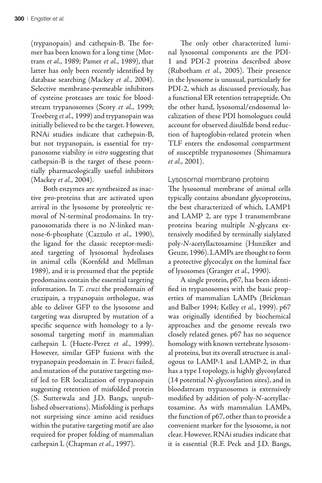(trypanopain) and cathepsin-B. The former has been known for a long time (Mottram et al., 1989; Pamer et al., 1989), that latter has only been recently identified by database searching (Mackey et al., 2004). Selective membrane-permeable inhibitors of cysteine proteases are toxic for bloodstream trypanosomes (Scory et al., 1999; Troeberg et al., 1999) and trypanopain was initially believed to be the target. However, RNAi studies indicate that cathepsin-B, but not trypanopain, is essential for trypanosome viability in vitro suggesting that cathepsin-B is the target of these potentially pharmacologically useful inhibitors (Mackey et al., 2004).

Both enzymes are synthesized as inactive pro-proteins that are activated upon arrival in the lysosome by proteolytic removal of N-terminal prodomains. In trypanosomatids there is no N-linked mannose-6-phosphate (Cazzulo et al., 1990), the ligand for the classic receptor-mediated targeting of lysosomal hydrolases in animal cells (Kornfeld and Mellman 1989), and it is presumed that the peptide prodomains contain the essential targeting information. In T. cruzi the prodomain of cruzipain, a trypanopain orthologue, was able to deliver GFP to the lysosome and targeting was disrupted by mutation of a specific sequence with homology to a lysosomal targeting motif in mammalian cathepsin L (Huete-Perez et al., 1999). However, similar GFP fusions with the trypanopain prodomain in T. brucei failed, and mutation of the putative targeting motif led to ER localization of trypanopain suggesting retention of misfolded protein (S. Sutterwala and J.D. Bangs, unpublished observations). Misfolding is perhaps not surprising since amino acid residues within the putative targeting motif are also required for proper folding of mammalian cathepsin L (Chapman et al., 1997).

The only other characterized luminal lysosomal components are the PDI-1 and PDI-2 proteins described above (Rubotham et al., 2005). Their presence in the lysosome is unusual, particularly for PDI-2, which as discussed previously, has a functional ER retention tetrapeptide. On the other hand, lysosomal/endosomal localization of these PDI homologues could account for observed disulfide bond reduction of haptoglobin-related protein when TLF enters the endosomal compartment of susceptible trypanosomes (Shimamura et al., 2001).

#### Lysosomal membrane proteins

The lysosomal membrane of animal cells typically contains abundant glycoproteins, the best characterized of which, LAMP1 and LAMP 2, are type I transmembrane proteins bearing multiple N-glycans extensively modified by terminally sialylated poly-N-acetyllactosamine (Hunziker and Geuze, 1996). LAMPs are thought to form a protective glycocalyx on the luminal face of lysosomes (Granger et al., 1990).

A single protein, p67, has been identified in trypanosomes with the basic properties of mammalian LAMPs (Brickman and Balber 1994; Kelley et al., 1999). p67 was originally identified by biochemical approaches and the genome reveals two closely related genes. p67 has no sequence homology with known vertebrate lysosomal proteins, but its overall structure is analogous to LAMP-1 and LAMP-2, in that has a type I topology, is highly glycosylated (14 potential N-glycosylation sites), and in bloodstream trypanosomes is extensively modified by addition of poly-N-acetyllactosamine. As with mammalian LAMPs, the function of p67, other than to provide a convenient marker for the lysosome, is not clear. However, RNAi studies indicate that it is essential (R.F. Peck and J.D. Bangs,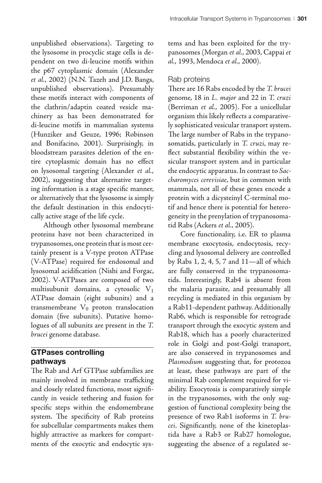unpublished observations). Targeting to the lysosome in procyclic stage cells is dependent on two di-leucine motifs within the p67 cytoplasmic domain (Alexander et al., 2002) (N.N. Tazeh and J.D. Bangs, unpublished observations). Presumably these motifs interact with components of the clathrin/adaptin coated vesicle machinery as has been demonstrated for di-leucine motifs in mammalian systems (Hunziker and Geuze, 1996; Robinson and Bonifacino, 2001). Surprisingly, in bloodstream parasites deletion of the entire cytoplasmic domain has no effect on lysosomal targeting (Alexander et al.,

2002), suggesting that alternative targeting information is a stage specific manner, or alternatively that the lysosome is simply the default destination in this endocytically active stage of the life cycle.

Although other lysosomal membrane proteins have not been characterized in trypanosomes, one protein that is most certainly present is a V-type proton ATPase (V-ATPase) required for endosomal and lysosomal acidification (Nishi and Forgac, 2002). V-ATPases are composed of two multisubunit domains, a cytosolic  $V_1$ ATPase domain (eight subunits) and a transmembrane  $V_0$  proton translocation domain (five subunits). Putative homologues of all subunits are present in the T. brucei genome database.

# **GTPases controlling pathways**

The Rab and Arf GTPase subfamilies are mainly involved in membrane trafficking and closely related functions, most significantly in vesicle tethering and fusion for specific steps within the endomembrane system. The specificity of Rab proteins for subcellular compartments makes them highly attractive as markers for compartments of the exocytic and endocytic systems and has been exploited for the trypanosomes (Morgan et al., 2003, Cappai et al., 1993, Mendoca et al., 2000).

# Rab proteins

There are 16 Rabs encoded by the T. brucei genome, 18 in L. major and 22 in T. cruzi (Berriman et al., 2005). For a unicellular organism this likely reflects a comparatively sophisticated vesicular transport system. The large number of Rabs in the trypanosomatids, particularly in T. cruzi, may reflect substantial flexibility within the vesicular transport system and in particular the endocytic apparatus. In contrast to Saccharomyces cerevisiae, but in common with mammals, not all of these genes encode a protein with a dicysteinyl C-terminal motif and hence there is potential for heterogeneity in the prenylation of trypanosomatid Rabs (Ackers et al., 2005).

Core functionality, i.e. ER to plasma membrane exocytosis, endocytosis, recycling and lysosomal delivery are controlled by Rabs 1, 2, 4, 5, 7 and 11—all of which are fully conserved in the trypanosomatids. Interestingly, Rab4 is absent from the malaria parasite, and presumably all recycling is mediated in this organism by a Rab11-dependent pathway. Additionally Rab6, which is responsible for retrograde transport through the exocytic system and Rab18, which has a poorly characterized role in Golgi and post-Golgi transport, are also conserved in trypanosomes and Plasmodium suggesting that, for protozoa at least, these pathways are part of the minimal Rab complement required for viability. Exocytosis is comparatively simple in the trypanosomes, with the only suggestion of functional complexity being the presence of two Rab1 isoforms in T. brucei. Significantly, none of the kinetoplastida have a Rab3 or Rab27 homologue, suggesting the absence of a regulated se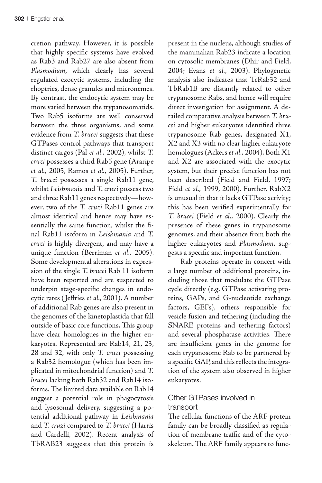cretion pathway. However, it is possible that highly specific systems have evolved as Rab3 and Rab27 are also absent from Plasmodium, which clearly has several regulated exocytic systems, including the rhoptries, dense granules and micronemes. By contrast, the endocytic system may be more varied between the trypanosomatids. Two Rab5 isoforms are well conserved between the three organisms, and some evidence from T. brucei suggests that these GTPases control pathways that transport distinct cargos (Pal et al., 2002), whilst T. cruzi possesses a third Rab5 gene (Araripe et al., 2005, Ramos et al., 2005). Further, T. brucei possesses a single Rab11 gene, whilst Leishmania and T. cruzi possess two and three Rab11 genes respectively—however, two of the T. cruzi Rab11 genes are almost identical and hence may have essentially the same function, whilst the final Rab11 isoform in Leishmania and T. cruzi is highly divergent, and may have a unique function (Berriman et al., 2005). Some developmental alterations in expression of the single T. brucei Rab 11 isoform have been reported and are suspected to underpin stage-specific changes in endocytic rates ( Jeffries et al., 2001). A number of additional Rab genes are also present in the genomes of the kinetoplastida that fall outside of basic core functions. This group have clear homologues in the higher eukaryotes. Represented are Rab14, 21, 23, 28 and 32, with only T. cruzi possessing a Rab32 homologue (which has been implicated in mitochondrial function) and T. brucei lacking both Rab32 and Rab14 isoforms. The limited data available on Rab14 suggest a potential role in phagocytosis and lysosomal delivery, suggesting a potential additional pathway in Leishmania and T. cruzi compared to T. brucei (Harris and Cardelli, 2002). Recent analysis of TbRAB23 suggests that this protein is

present in the nucleus, although studies of the mammalian Rab23 indicate a location on cytosolic membranes (Dhir and Field, 2004; Evans et al., 2003). Phylogenetic analysis also indicates that TcRab32 and TbRab1B are distantly related to other trypanosome Rabs, and hence will require direct investigation for assignment. A detailed comparative analysis between T. brucei and higher eukaryotes identified three trypanosome Rab genes, designated X1, X2 and X3 with no clear higher eukaryote homologues (Ackers et al., 2004). Both X1 and X2 are associated with the exocytic system, but their precise function has not been described (Field and Field, 1997; Field et al., 1999, 2000). Further, RabX2 is unusual in that it lacks GTPase activity; this has been verified experimentally for T. brucei (Field et al., 2000). Clearly the presence of these genes in trypanosome genomes, and their absence from both the higher eukaryotes and Plasmodium, suggests a specific and important function.

Rab proteins operate in concert with a large number of additional proteins, including those that modulate the GTPase cycle directly (e.g. GTPase activating proteins, GAPs, and G-nucleotide exchange factors, GEFs), others responsible for vesicle fusion and tethering (including the SNARE proteins and tethering factors) and several phosphatase activities. There are insufficient genes in the genome for each trypanosome Rab to be partnered by a specific GAP, and this reflects the integration of the system also observed in higher eukaryotes.

# Other GTPases involved in transport

The cellular functions of the ARF protein family can be broadly classified as regulation of membrane traffic and of the cytoskeleton. The ARF family appears to func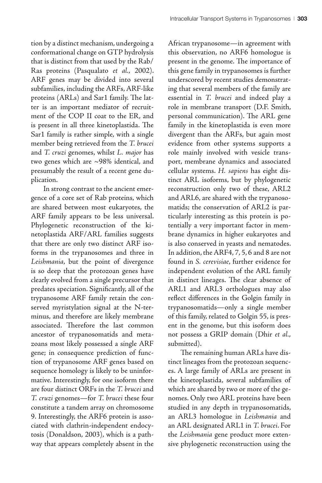tion by a distinct mechanism, undergoing a conformational change on GTP hydrolysis that is distinct from that used by the Rab/ Ras proteins (Pasqualato et al., 2002). ARF genes may be divided into several subfamilies, including the ARFs, ARF-like proteins (ARLs) and Sar1 family. The latter is an important mediator of recruitment of the COP II coat to the ER, and is present in all three kinetoplastida. The Sar1 family is rather simple, with a single member being retrieved from the T. brucei and T. cruzi genomes, whilst L. major has two genes which are ~98% identical, and presumably the result of a recent gene duplication.

In strong contrast to the ancient emergence of a core set of Rab proteins, which are shared between most eukaryotes, the ARF family appears to be less universal. Phylogenetic reconstruction of the kinetoplastida ARF/ARL families suggests that there are only two distinct ARF isoforms in the trypanosomes and three in Leishmania, but the point of divergence is so deep that the protozoan genes have clearly evolved from a single precursor that predates speciation. Significantly, all of the trypanosome ARF family retain the conserved myristylation signal at the N-terminus, and therefore are likely membrane associated. Therefore the last common ancestor of trypanosomatids and metazoans most likely possessed a single ARF gene; in consequence prediction of function of trypanosome ARF genes based on sequence homology is likely to be uninformative. Interestingly, for one isoform there are four distinct ORFs in the T. brucei and T. cruzi genomes—for T. brucei these four constitute a tandem array on chromosome 9. Interestingly, the ARF6 protein is associated with clathrin-independent endocytosis (Donaldson, 2003), which is a pathway that appears completely absent in the

African trypanosome—in agreement with this observation, no ARF6 homologue is present in the genome. The importance of this gene family in trypanosomes is further underscored by recent studies demonstrating that several members of the family are essential in T. brucei and indeed play a role in membrane transport (D.F. Smith, personal communication). The ARL gene family in the kinetoplastida is even more divergent than the ARFs, but again most evidence from other systems supports a role mainly involved with vesicle transport, membrane dynamics and associated cellular systems. H. sapiens has eight distinct ARL isoforms, but by phylogenetic reconstruction only two of these, ARL2 and ARL6, are shared with the trypanosomatids; the conservation of ARL2 is particularly interesting as this protein is potentially a very important factor in membrane dynamics in higher eukaryotes and is also conserved in yeasts and nematodes. In addition, the ARF4, 7, 5, 6 and 8 are not found in S. cerevisiae, further evidence for independent evolution of the ARL family in distinct lineages. The clear absence of ARL1 and ARL3 orthologues may also reflect differences in the Golgin family in trypanosomatids—only a single member of this family, related to Golgin 55, is present in the genome, but this isoform does not possess a GRIP domain (Dhir et al., submitted).

The remaining human ARLs have distinct lineages from the protozoan sequences. A large family of ARLs are present in the kinetoplastida, several subfamilies of which are shared by two or more of the genomes. Only two ARL proteins have been studied in any depth in trypanosomatids, an ARL3 homologue in Leishmania and an ARL designated ARL1 in T. brucei. For the Leishmania gene product more extensive phylogenetic reconstruction using the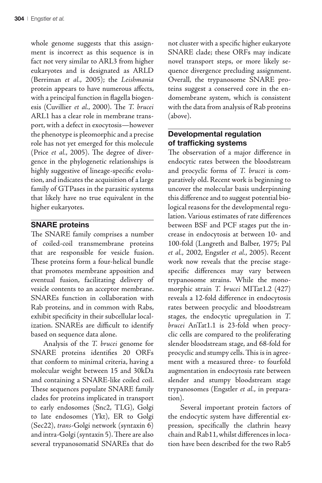whole genome suggests that this assignment is incorrect as this sequence is in fact not very similar to ARL3 from higher eukaryotes and is designated as ARLD (Berriman et al., 2005); the Leishmania protein appears to have numerous affects, with a principal function in flagella biogenesis (Cuvillier et al., 2000). The T. brucei ARL1 has a clear role in membrane transport, with a defect in exocytosis—however the phenotype is pleomorphic and a precise role has not yet emerged for this molecule (Price et al., 2005). The degree of divergence in the phylogenetic relationships is highly suggestive of lineage-specific evolution, and indicates the acquisition of a large family of GTPases in the parasitic systems that likely have no true equivalent in the higher eukaryotes.

# **SNARE proteins**

The SNARE family comprises a number of coiled-coil transmembrane proteins that are responsible for vesicle fusion. These proteins form a four-helical bundle that promotes membrane apposition and eventual fusion, facilitating delivery of vesicle contents to an acceptor membrane. SNAREs function in collaboration with Rab proteins, and in common with Rabs, exhibit specificity in their subcellular localization. SNAREs are difficult to identify based on sequence data alone.

Analysis of the T. brucei genome for SNARE proteins identifies 20 ORFs that conform to minimal criteria, having a molecular weight between 15 and 30kDa and containing a SNARE-like coiled coil. These sequences populate SNARE family clades for proteins implicated in transport to early endosomes (Snc2, TLG), Golgi to late endosomes (Ykt), ER to Golgi (Sec22), trans-Golgi network (syntaxin 6) and intra-Golgi (syntaxin 5). There are also several trypanosomatid SNAREs that do not cluster with a specific higher eukaryote SNARE clade; these ORFs may indicate novel transport steps, or more likely sequence divergence precluding assignment. Overall, the trypanosome SNARE proteins suggest a conserved core in the endomembrane system, which is consistent with the data from analysis of Rab proteins (above).

# **Developmental regulation of trafficking systems**

The observation of a major difference in endocytic rates between the bloodstream and procyclic forms of T. brucei is comparatively old. Recent work is beginning to uncover the molecular basis underpinning this difference and to suggest potential biological reasons for the developmental regulation. Various estimates of rate differences between BSF and PCF stages put the increase in endocytosis at between 10- and 100-fold (Langreth and Balber, 1975; Pal et al., 2002, Engstler et al., 2005). Recent work now reveals that the precise stagespecific differences may vary between trypanosome strains. While the monomorphic strain T. brucei MITat1.2 (427) reveals a 12-fold difference in endocytosis rates between procyclic and bloodstream stages, the endocytic upregulation in T. brucei AnTat1.1 is 23-fold when procyclic cells are compared to the proliferating slender bloodstream stage, and 68-fold for procyclic and stumpy cells. This is in agreement with a measured three- to fourfold augmentation in endocytosis rate between slender and stumpy bloodstream stage trypanosomes (Engstler et al., in preparation).

Several important protein factors of the endocytic system have differential expression, specifically the clathrin heavy chain and Rab11, whilst differences in location have been described for the two Rab5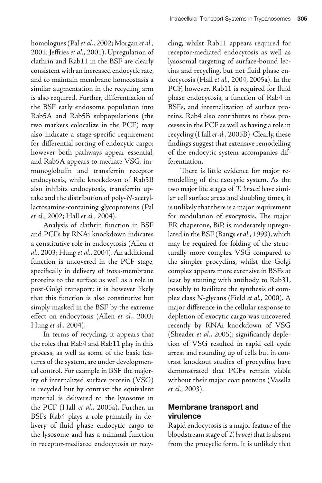homologues (Pal et al., 2002; Morgan et al., 2001; Jeffries et al., 2001). Upregulation of clathrin and Rab11 in the BSF are clearly consistent with an increased endocytic rate, and to maintain membrane homeostasis a similar augmentation in the recycling arm is also required. Further, differentiation of the BSF early endosome population into Rab5A and Rab5B subpopulations (the two markers colocalize in the PCF) may also indicate a stage-specific requirement for differential sorting of endocytic cargo; however both pathways appear essential, and Rab5A appears to mediate VSG, immunoglobulin and transferrin receptor endocytosis, while knockdown of Rab5B also inhibits endocytosis, transferrin uptake and the distribution of poly-N-acetyllactosamine-containing glycoproteins (Pal et al., 2002; Hall et al., 2004).

Analysis of clathrin function in BSF and PCFs by RNAi knockdown indicates a constitutive role in endocytosis (Allen et al., 2003; Hung et al., 2004). An additional function is uncovered in the PCF stage, specifically in delivery of trans-membrane proteins to the surface as well as a role in post-Golgi transport; it is however likely that this function is also constitutive but simply masked in the BSF by the extreme effect on endocytosis (Allen et al., 2003; Hung et al., 2004).

In terms of recycling, it appears that the roles that Rab4 and Rab11 play in this process, as well as some of the basic features of the system, are under developmental control. For example in BSF the majority of internalized surface protein (VSG) is recycled but by contrast the equivalent material is delivered to the lysosome in the PCF (Hall et al., 2005a). Further, in BSFs Rab4 plays a role primarily in delivery of fluid phase endocytic cargo to the lysosome and has a minimal function in receptor-mediated endocytosis or recycling, whilst Rab11 appears required for receptor-mediated endocytosis as well as lysosomal targeting of surface-bound lectins and recycling, but not fluid phase endocytosis (Hall et al., 2004, 2005a). In the PCF, however, Rab11 is required for fluid phase endocytosis, a function of Rab4 in BSFs, and internalization of surface proteins. Rab4 also contributes to these processes in the PCF as well as having a role in recycling (Hall et al., 2005B). Clearly, these findings suggest that extensive remodelling of the endocytic system accompanies differentiation.

There is little evidence for major remodelling of the exocytic system. As the two major life stages of T. brucei have similar cell surface areas and doubling times, it is unlikely that there is a major requirement for modulation of exocytosis. The major ER chaperone, BiP, is moderately upregulated in the BSF (Bangs et al., 1993), which may be required for folding of the structurally more complex VSG compared to the simpler procyclins, whilst the Golgi complex appears more extensive in BSFs at least by staining with antibody to Rab31, possibly to facilitate the synthesis of complex class N-glycans (Field et al., 2000). A major difference in the cellular response to depletion of exocytic cargo was uncovered recently by RNAi knockdown of VSG (Sheader et al., 2005); significantly depletion of VSG resulted in rapid cell cycle arrest and rounding up of cells but in contrast knockout studies of procyclins have demonstrated that PCFs remain viable without their major coat proteins (Vasella et al., 2003).

# **Membrane transport and virulence**

Rapid endocytosis is a major feature of the bloodstream stage of T. brucei that is absent from the procyclic form. It is unlikely that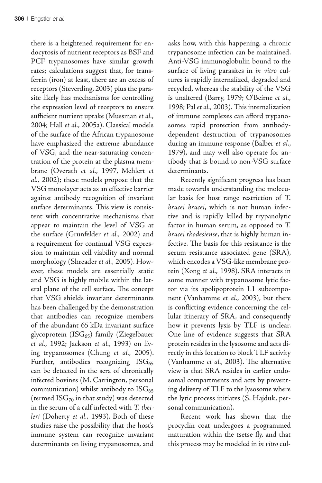there is a heightened requirement for endocytosis of nutrient receptors as BSF and PCF trypanosomes have similar growth rates; calculations suggest that, for transferrin (iron) at least, there are an excess of receptors (Steverding, 2003) plus the parasite likely has mechanisms for controlling the expression level of receptors to ensure sufficient nutrient uptake (Mussman et al., 2004; Hall et al., 2005a). Classical models of the surface of the African trypanosome have emphasized the extreme abundance of VSG, and the near-saturating concentration of the protein at the plasma membrane (Overath et al., 1997, Mehlert et al., 2002); these models propose that the VSG monolayer acts as an effective barrier against antibody recognition of invariant surface determinants. This view is consistent with concentrative mechanisms that appear to maintain the level of VSG at the surface (Grunfelder et al., 2002) and a requirement for continual VSG expression to maintain cell viability and normal morphology (Shreader et al., 2005). However, these models are essentially static and VSG is highly mobile within the lateral plane of the cell surface. The concept that VSG shields invariant determinants has been challenged by the demonstration that antibodies can recognize members of the abundant 65 kDa invariant surface glycoprotein  $(ISG_{65})$  family (Ziegelbauer et al., 1992; Jackson et al., 1993) on living trypanosomes (Chung et al., 2005). Further, antibodies recognizing  $ISG_{65}$ can be detected in the sera of chronically infected bovines (M. Carrington, personal communication) whilst antibody to  $ISG_{65}$ (termed  $\text{ISG}_{70}$  in that study) was detected in the serum of a calf infected with T. theileri (Doherty et al., 1993). Both of these studies raise the possibility that the host's immune system can recognize invariant determinants on living trypanosomes, and asks how, with this happening, a chronic trypanosome infection can be maintained. Anti-VSG immunoglobulin bound to the surface of living parasites in in vitro cultures is rapidly internalized, degraded and recycled, whereas the stability of the VSG is unaltered (Barry, 1979; O'Beirne et al., 1998; Pal et al., 2003). This internalization of immune complexes can afford trypanosomes rapid protection from antibodydependent destruction of trypanosomes during an immune response (Balber et al., 1979), and may well also operate for antibody that is bound to non-VSG surface determinants.

Recently significant progress has been made towards understanding the molecular basis for host range restriction of T. brucei brucei, which is not human infective and is rapidly killed by trypanolytic factor in human serum, as opposed to T. brucei rhodesiense, that is highly human infective. The basis for this resistance is the serum resistance associated gene (SRA), which encodes a VSG-like membrane protein (Xong et al., 1998). SRA interacts in some manner with trypanosome lytic factor via its apolipoprotein L1 subcomponent (Vanhamme et al., 2003), but there is conflicting evidence concerning the cellular itinerary of SRA, and consequently how it prevents lysis by TLF is unclear. One line of evidence suggests that SRA protein resides in the lysosome and acts directly in this location to block TLF activity (Vanhamme et al., 2003). The alternative view is that SRA resides in earlier endosomal compartments and acts by preventing delivery of TLF to the lysosome where the lytic process initiates (S. Hajduk, personal communication).

Recent work has shown that the procyclin coat undergoes a programmed maturation within the tsetse fly, and that this process may be modeled in in vitro cul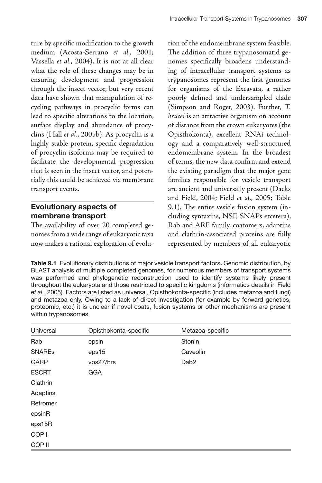ture by specific modification to the growth medium (Acosta-Serrano et al., 2001; Vassella et al., 2004). It is not at all clear what the role of these changes may be in ensuring development and progression through the insect vector, but very recent data have shown that manipulation of recycling pathways in procyclic forms can lead to specific alterations to the location, surface display and abundance of procyclins (Hall et al., 2005b). As procyclin is a highly stable protein, specific degradation of procyclin isoforms may be required to facilitate the developmental progression that is seen in the insect vector, and potentially this could be achieved via membrane transport events.

# **Evolutionary aspects of membrane transport**

The availability of over 20 completed genomes from a wide range of eukaryotic taxa now makes a rational exploration of evolution of the endomembrane system feasible. The addition of three trypanosomatid genomes specifically broadens understanding of intracellular transport systems as trypanosomes represent the first genomes for organisms of the Excavata, a rather poorly defined and undersampled clade (Simpson and Roger, 2003). Further, T. brucei is an attractive organism on account of distance from the crown eukaryotes (the Opisthokonta), excellent RNAi technology and a comparatively well-structured endomembrane system. In the broadest of terms, the new data confirm and extend the existing paradigm that the major gene families responsible for vesicle transport are ancient and universally present (Dacks and Field, 2004; Field et al., 2005; Table 9.1). The entire vesicle fusion system (including syntaxins, NSF, SNAPs etcetera), Rab and ARF family, coatomers, adaptins and clathrin-associated proteins are fully represented by members of all eukaryotic

**Table 9.1** Evolutionary distributions of major vesicle transport factors**.** Genomic distribution, by BLAST analysis of multiple completed genomes, for numerous members of transport systems was performed and phylogenetic reconstruction used to identify systems likely present throughout the eukaryota and those restricted to specific kingdoms (informatics details in Field *et al.*, 2005). Factors are listed as universal, Opisthokonta-specific (includes metazoa and fungi) and metazoa only. Owing to a lack of direct investigation (for example by forward genetics, proteomic, etc.) it is unclear if novel coats, fusion systems or other mechanisms are present within trypanosomes

| Universal        | Opisthokonta-specific | Metazoa-specific |  |
|------------------|-----------------------|------------------|--|
| Rab              | epsin                 | Stonin           |  |
| <b>SNARES</b>    | eps15                 | Caveolin         |  |
| <b>GARP</b>      | vps27/hrs             | Dab <sub>2</sub> |  |
| <b>ESCRT</b>     | <b>GGA</b>            |                  |  |
| Clathrin         |                       |                  |  |
| Adaptins         |                       |                  |  |
| Retromer         |                       |                  |  |
| epsinR           |                       |                  |  |
| eps15R           |                       |                  |  |
| COP <sub>1</sub> |                       |                  |  |
| COP II           |                       |                  |  |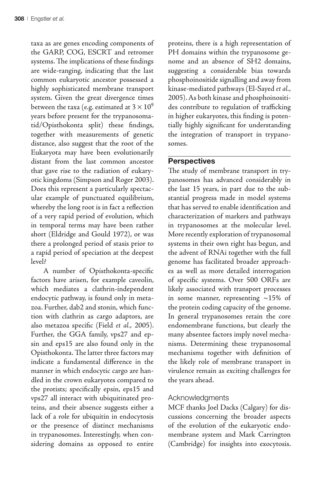taxa as are genes encoding components of the GARP, COG, ESCRT and retromer systems. The implications of these findings are wide-ranging, indicating that the last common eukaryotic ancestor possessed a highly sophisticated membrane transport system. Given the great divergence times between the taxa (e.g. estimated at 3  $\times$   $10^9$ years before present for the trypanosomatid/Opisthokonta split) these findings, together with measurements of genetic distance, also suggest that the root of the Eukaryota may have been evolutionarily distant from the last common ancestor that gave rise to the radiation of eukaryotic kingdoms (Simpson and Roger 2003). Does this represent a particularly spectacular example of punctuated equilibrium, whereby the long root is in fact a reflection of a very rapid period of evolution, which in temporal terms may have been rather short (Eldridge and Gould 1972), or was there a prolonged period of stasis prior to a rapid period of speciation at the deepest level?

A number of Opisthokonta-specific factors have arisen, for example caveolin, which mediates a clathrin-independent endocytic pathway, is found only in metazoa. Further, dab2 and stonin, which function with clathrin as cargo adaptors, are also metazoa specific (Field et al., 2005). Further, the GGA family, vps27 and epsin and eps15 are also found only in the Opisthokonta. The latter three factors may indicate a fundamental difference in the manner in which endocytic cargo are handled in the crown eukaryotes compared to the protists; specifically epsin, eps15 and vps27 all interact with ubiquitinated proteins, and their absence suggests either a lack of a role for ubiquitin in endocytosis or the presence of distinct mechanisms in trypanosomes. Interestingly, when considering domains as opposed to entire

proteins, there is a high representation of PH domains within the trypanosome genome and an absence of SH2 domains, suggesting a considerable bias towards phosphoinositide signalling and away from kinase-mediated pathways (El-Sayed et al., 2005). As both kinase and phosphoinositides contribute to regulation of trafficking in higher eukaryotes, this finding is potentially highly significant for understanding the integration of transport in trypanosomes.

### **Perspectives**

The study of membrane transport in trypanosomes has advanced considerably in the last 15 years, in part due to the substantial progress made in model systems that has served to enable identification and characterization of markers and pathways in trypanosomes at the molecular level. More recently exploration of trypanosomal systems in their own right has begun, and the advent of RNAi together with the full genome has facilitated broader approaches as well as more detailed interrogation of specific systems. Over 500 ORFs are likely associated with transport processes in some manner, representing ~15% of the protein coding capacity of the genome. In general trypanosomes retain the core endomembrane functions, but clearly the many absentee factors imply novel mechanisms. Determining these trypanosomal mechanisms together with definition of the likely role of membrane transport in virulence remain as exciting challenges for the years ahead.

#### Acknowledgments

MCF thanks Joel Dacks (Calgary) for discussions concerning the broader aspects of the evolution of the eukaryotic endomembrane system and Mark Carrington (Cambridge) for insights into exocytosis.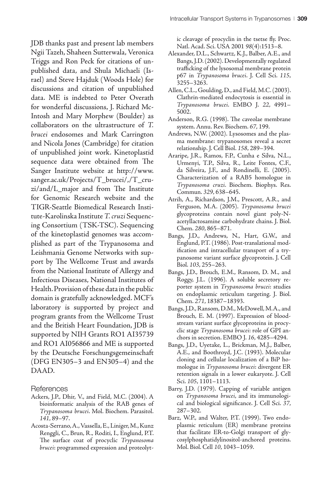JDB thanks past and present lab members Ngii Tazeh, Shaheen Sutterwala, Veronica Triggs and Ron Peck for citations of unpublished data, and Shula Michaeli (Israel) and Steve Hajduk (Woods Hole) for discussions and citation of unpublished data. ME is indebted to Peter Overath for wonderful discussions, J. Richard Mc-Intosh and Mary Morphew (Boulder) as collaborators on the ultrastructure of T. brucei endosomes and Mark Carrington and Nicola Jones (Cambridge) for citation of unpublished joint work. Kinetoplastid sequence data were obtained from The Sanger Institute website at http://www. sanger.ac.uk/Projects/T\_brucei/,/T\_cruzi/and/L\_major and from The Institute for Genomic Research website and the TIGR-Seattle Biomedical Research Institute-Karolinska Institute T. cruzi Sequencing Consortium (TSK-TSC). Sequencing of the kinetoplastid genomes was accomplished as part of the Trypanosoma and Leishmania Genome Networks with support by The Wellcome Trust and awards from the National Institute of Allergy and Infectious Diseases, National Institutes of Health. Provision of these data in the public domain is gratefully acknowledged. MCF's laboratory is supported by project and program grants from the Wellcome Trust and the British Heart Foundation, JDB is supported by NIH Grants RO1 AI35739 and RO1 AI056866 and ME is supported by the Deutsche Forschungsgemeinschaft (DFG EN305–3 and EN305–4) and the DAAD.

References

- Ackers, J.P., Dhir, V., and Field, M.C. (2004). A bioinformatic analysis of the RAB genes of Trypanosoma brucei. Mol. Biochem. Parasitol. 141, 89–97.
- Acosta-Serrano, A., Vassella, E., Liniger, M., Kunz Renggli, C., Brun, R., Roditi, I., Englund, P.T. The surface coat of procyclic Trypanosoma brucei: programmed expression and proteolyt-

ic cleavage of procyclin in the tsetse fly. Proc. Natl. Acad. Sci. USA 2001 98(4):1513–8.

- Alexander, D.L., Schwartz, K.J., Balber, A.E., and Bangs, J.D. (2002). Developmentally regulated trafficking of the lysosomal membrane protein p67 in Trypanosoma brucei. J. Cell Sci. 115, 3255–3263.
- Allen, C.L., Goulding, D., and Field, M.C. (2003). Clathrin-mediated endocytosis is essential in Trypanosoma brucei. EMBO J. 22, 4991– 5002.
- Anderson, R.G. (1998). The caveolae membrane system. Annu. Rev. Biochem. 67, 199.
- Andrews, N.W. (2002). Lysosomes and the plasma membrane: trypanosomes reveal a secret relationship. J. Cell Biol. 158, 289–394.
- Araripe, J.R., Ramos, F.P., Cunha e Silva, N.L., Urmenyi, T.P., Silva, R., Leite Fontes, C.F., da Silveira, J.F., and Rondinelli, E. (2005). Characterization of a RAB5 homologue in Trypanosoma cruzi. Biochem. Biophys. Res. Commun. 329, 638–645.
- Atrih, A., Richardson, J.M., Prescott, A.R., and Ferguson, M.A. (2005). Trypanosoma brucei glycoproteins contain novel giant poly-Nacetyllactosamine carbohydrate chains. J. Biol. Chem. 280, 865–871.
- Bangs, J.D., Andrews, N., Hart, G.W., and Englund, P.T. (1986). Post-translational modification and intracellular transport of a trypanosome variant surface glycoprotein. J. Cell Biol. 103, 255–263.
- Bangs, J.D., Brouch, E.M., Ransom, D. M., and Roggy, J.L. (1996). A soluble secretory reporter system in Trypanosoma brucei: studies on endoplasmic reticulum targeting. J. Biol. Chem. 271, 18387–18393.
- Bangs, J.D., Ransom, D.M., McDowell, M.A., and Brouch, E. M. (1997). Expression of bloodstream variant surface glycoproteins in procyclic stage Trypanosoma brucei: role of GPI anchors in secretion. EMBO J. 16, 4285–4294.
- Bangs, J.D., Uyetake, L., Brickman, M.J., Balber, A.E., and Boothroyd, J.C. (1993). Molecular cloning and cellular localization of a BiP homologue in Trypanosoma brucei: divergent ER retention signals in a lower eukaryote. J. Cell Sci. 105, 1101–1113.
- Barry, J.D. (1979). Capping of variable antigen on Trypanosoma brucei, and its immunological and biological significance. J. Cell Sci. 37, 287–302.
- Barz, W.P., and Walter, P.T. (1999). Two endoplasmic reticulum (ER) membrane proteins that facilitate ER-to-Golgi transport of glycosylphosphatidylinositol-anchored proteins. Mol. Biol. Cell 10, 1043–1059.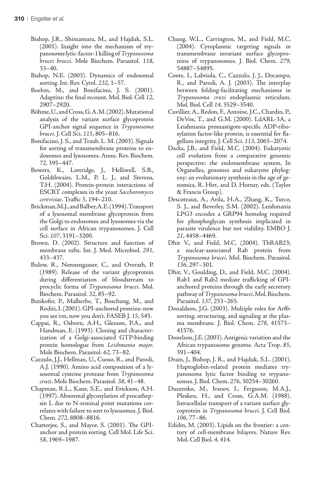- Bishop, J.R., Shimamura, M., and Hajduk, S.L. (2001). Insight into the mechanism of trypanosome lytic-factor-1 killing of Trypanosoma brucei brucei. Mole Biochem. Parasitol. 118, 33–40.
- Bishop, N.E. (2003). Dynamics of endosomal sorting. Int. Rev. Cytol. 232, 1–57.
- Boehm, M., and Bonifacino, J. S. (2001). Adaptins: the final recount. Mol. Biol. Cell 12, 2907–2920.
- Böhme, U., and Cross, G. A. M. (2002). Mutational analysis of the variant surface glycoprotein GPI-anchor signal sequence in Trypanosoma brucei. J. Cell Sci. 115, 805–816.
- Bonifacino, J. S., and Traub, L. M. (2003). Signals for sorting of transmembrane proteins to endosomes and lysosomes. Annu. Rev. Biochem. 72, 395–447.
- Bowers, K., Lottridge, J., Helliwell, S.B., Goldthwaite, L.M., P, L. J., and Stevens, T.H. (2004). Protein-protein interactions of ESCRT complexes in the yeast Saccharomyces cerevisiae. Traffic 5, 194–210.
- Brickman, M.J., and Balber, A.E. (1994). Transport of a lysosomal membrane glycoprotein from the Golgi to endosomes and lysosomes via the cell surface in African trypanosomes. J. Cell Sci. 107, 3191–3200.
- Brown, D. (2002). Structure and function of membrane rafts. Int. J. Med. Microbiol. 291, 433–437.
- Bulow, R., Nonnengasser, C., and Overath, P. (1989). Release of the variant glycoprotein during differentiation of bloodstream to procyclic forms of Trypanosoma brucei. Mol. Biochem. Parasitol. 32, 85–92.
- Butikofer, P., Malherbe, T., Boschung, M., and Roditi, I. (2001). GPI-anchored proteins: now you see 'em, now you don't. FASEB J. 15, 545.
- Cappai, R., Osborn, A.H., Gleeson, P.A., and Handman, E. (1993). Cloning and characterization of a Golgi-associated GTP-binding protein homologue from Leishmania major. Mole Biochem. Parasitol. 62, 73–82.
- Cazzulo, J.J., Hellman, U., Cuoso, R., and Parodi, A.J. (1990). Amino acid composition of a lysosomal cysteine protease from Trypanosoma cruzi. Mole Biochem. Parasitol. 38, 41–48.
- Chapman, R.L., Kane, S.E., and Erickson, A.H. (1997). Abnormal glycosylation of procathepsin L due to N-teminal point mutations correlates with failure to sort to lysosomes. J. Biol. Chem. 272, 8808–8816.
- Chatterjee, S., and Mayor, S. (2001). The GPIanchor and protein sorting. Cell Mol. Life Sci. 58, 1969–1987.
- Chung, W.L., Carrington, M., and Field, M.C. (2004). Cytoplasmic targeting signals in transmembrane invariant surface glycoproteins of trypanosomes. J. Biol. Chem. 279, 54887–54895.
- Conte, I., Labriola, C., Cazzulo, J. J., Docampo, R., and Parodi, A. J. (2003). The interplay between folding-facilitating mechanisms in Trypanosoma cruzi endoplasmic reticulum. Mol. Biol. Cell 14, 3529–3540.
- Cuvillier, A., Redon, F., Antoine, J.C., Chardin, P., DeVos, T., and G.M. (2000). LdARL-3A, a Leishmania promastigote-specific ADP-ribosylation factor-like protein, is essential for flagellum integrity. J. Cell Sci. 113, 2065–2074.
- Dacks, J.B., and Field, M.C. (2004). Eukaryotic cell evolution from a comparative genomic perspective: the endomembrane system, In Organelles, genomes and eukaryote phylogeny: an evolutionary synthesis in the age of genomics, R. Hirt, and D. Horner, eds. (Taylor & Francis Group).
- Descoteaux, A., Avila, H.A., Zhang, K., Turco, S. J., and Beverley, S.M. (2002). Leishmania LPG3 encodes a GRP94 homolog required for phosphoglycan synthesis implicated in parasite virulence but not viability. EMBO J. 21, 4458–4469.
- Dhir V., and Field, M.C. (2004). TbRAB23; a nuclear-associated Rab protein from Trypanosoma brucei. Mol. Biochem. Parasitol. 136, 297–301.
- Dhir, V., Goulding, D., and Field, M.C. (2004). Rab1 and Rab2 mediate trafficking of GPIanchored proteins through the early secretory pathway of Trypanosoma brucei. Mol. Biochem. Parasitol. 137, 253–265.
- Donaldson, J.G. (2003). Multiple roles for Arf6: sorting, structuring, and signaling at the plasma membrane. J. Biol. Chem. 278, 41573– 41576.
- Donelson, J.E. (2003). Antigenic variation and the African trypanosome genome. Acta Trop. 85, 391–404.
- Drain, J., Bishop, J. R., and Hajduk, S.L. (2001). Haptoglobin-related protein mediates trypanosome lytic factor binding to trypanosomes. J. Biol. Chem. 276, 30254–30260.
- Duszenko, M., Ivanov, I., Ferguson, M.A.J., Plesken, H., and Cross, G.A.M. (1988). Intracellular transport of a variant surface glycoprotein in Trypanosoma brucei. J. Cell Biol. 106, 77–86.
- Edidin, M. (2003). Lipids on the frontier: a century of cell-membrane bilayers. Nature Rev. Mol. Cell Biol. 4, 414.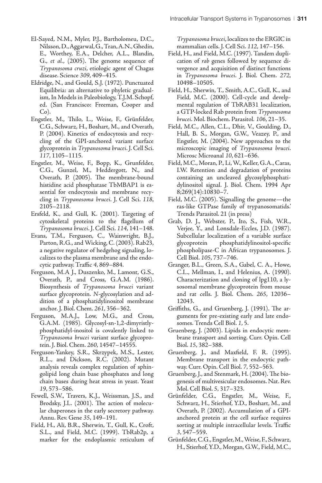- El-Sayed, N.M., Myler, P.J., Bartholomeu, D.C., Nilsson, D., Aggarwal, G., Tran, A.N., Ghedin, E., Worthey, E.A., Delcher, A.L., Blandin, G., et al.,  $(2005)$ . The genome sequence of Trypanosoma cruzi, etiologic agent of Chagas disease. Science 309, 409–415.
- Eldridge, N., and Gould, S.J. (1972). Punctuated Equilibria: an alternative to phyletic gradualism, In Models in Paleobiology, T.J.M. Schopf, ed. (San Francisco: Freeman, Cooper and Co).
- Engstler, M., Thilo, L., Weise, F., Grünfelder, C.G., Schwarz, H., Boshart, M., and Overath, P. (2004). Kinetics of endocytosis and recycling of the GPI-anchored variant surface glycoprotein in Trypanosoma brucei. J. Cell Sci. 117, 1105–1115.
- Engstler, M., Weise, F., Bopp, K., Grunfelder, C.G., Gunzel, M., Heddergott, N., and Overath, P. (2005). The membrane-bound histidine acid phosphatase TbMBAP1 is essential for endocytosis and membrane recycling in Trypanosoma brucei. J. Cell Sci. 118, 2105–2118.
- Ersfeld, K., and Gull, K. (2001). Targeting of cytoskeletal proteins to the flagellum of Trypanosoma brucei. J. Cell Sci. 114, 141–148.
- Evans, T.M., Ferguson, C., Wainwright, B.J., Parton, R.G., and Wicking, C. (2003). Rab23, a negative regulator of hedgehog signaling, localizes to the plasma membrane and the endocytic pathway. Traffic 4, 869–884.
- Ferguson, M.A J., Duszenko, M., Lamont, G.S., Overath, P., and Cross, G.A.M. (1986). Biosynthesis of Trypanosoma brucei variant surface glycoprotein. N-glycosylation and addition of a phosphatidylinositol membrane anchor. J. Biol. Chem. 261, 356–362.
- Ferguson, M.A.J., Low, M.G., and Cross, G.A.M. (1985). Glycosyl-sn-1,2-dimyristlyphosphatidyl-inositol is covalently linked to Trypanosoma brucei variant surface glycoprotein. J. Biol. Chem. 260, 14547–14555.
- Ferguson-Yankey, S.R., Skrzypek, M.S., Lester, R.L., and Dickson, R.C. (2002). Mutant analysis reveals complex regulation of sphingolipid long chain base phosphates and long chain bases during heat stress in yeast. Yeast 19, 573–586.
- Fewell, S.W., Travers, K.J., Weissman, J.S., and Brodsky, J.L. (2001). The action of molecular chaperones in the early secretory pathway. Annu. Rev. Gene 35, 149–191.
- Field, H., Ali, B.R., Sherwin, T., Gull, K., Croft, S.L., and Field, M.C. (1999). TbRab2p, a marker for the endoplasmic reticulum of

Trypanosoma brucei, localizes to the ERGIC in mammalian cells. J. Cell Sci. 112, 147–156.

- Field, H., and Field, M.C. (1997). Tandem duplication of rab genes followed by sequence divergence and acquisition of distinct functions in Trypanosoma brucei. J. Biol. Chem. 272, 10498–10505.
- Field, H., Sherwin, T., Smith, A.C., Gull, K., and Field, M.C. (2000). Cell-cycle and develpmental regulation of TbRAB31 localization, a GTP-locked Rab protein from Trypanosoma brucei. Mol. Biochem. Parasitol. 106, 21–35.
- Field, M.C., Allen, C.L., Dhir, V., Goulding, D., Hall, B. S., Morgan, G.W., Veazey, P., and Engstler, M. (2004). New approaches to the microscopic imaging of Trypanosoma brucei. Microsc Microanal 10, 621–636.
- Field, M.C., Moran, P., Li, W., Keller, G.A., Caras, I.W. Retention and degradation of proteins containing an uncleaved glycosylphosphatidylinositol signal. J. Biol. Chem. 1994 Apr 8;269(14):10830–7.
- Field, M.C. (2005). 'Signalling the genome—the ras-like GTPase family of trypanosomatids.' Trends Parasitol. 21 (in press)
- Grab, D. J., Webster, P., Ito, S., Fish, W.R., Verjee, Y., and Lonsdale-Eccles, J.D. (1987). Subcellular localization of a variable surface glycoprotein phosphatidylinositol-specific phospholipase-C in African trypanosomes. J. Cell Biol. 105, 737–746.
- Granger, B.L., Green, S.A., Gabel, C. A., Howe, C.L., Mellman, I., and Helenius, A. (1990). Characterization and cloning of lpg110, a lysosomal membrane glycoprotein from mouse and rat cells. J. Biol. Chem. 265, 12036– 12043.
- Griffiths, G., and Gruenberg, J. (1991). The arguments for pre-existing early and late endosomes. Trends Cell Biol. 1, 5.
- Gruenberg, J. (2003). Lipids in endocytic membrane transport and sorting. Curr. Opin. Cell Biol. 15, 382–388.
- Gruenberg, J., and Maxfield, F. R. (1995). Membrane transport in the endocytic pathway. Curr. Opin. Cell Biol. 7, 552–563.
- Gruenberg, J., and Stenmark, H. (2004). The biogenesis of multivesicular endosomes. Nat. Rev. Mol. Cell Biol. 5, 317–323.
- Grünfelder, C.G., Engstler, M., Weise, F., Schwarz, H., Stierhof, Y.D., Boshart, M., and Overath, P. (2002). Accumulation of a GPIanchored protein at the cell surface requires sorting at multiple intracellular levels. Traffic 3, 547–559.
- Grünfelder, C.G., Engstler, M., Weise, F., Schwarz, H., Stierhof, Y.D., Morgan, G.W., Field, M.C.,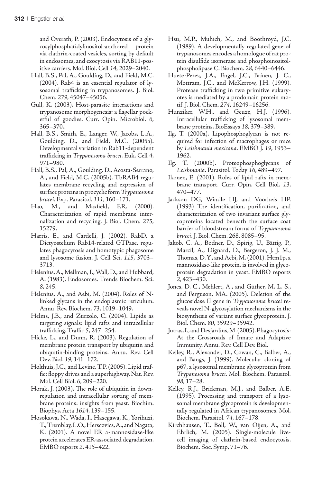and Overath, P. (2003). Endocytosis of a glycosylphosphatidylinositol-anchored protein via clathrin-coated vesicles, sorting by default in endosomes, and exocytosis via RAB11-positive carriers. Mol. Biol. Cell 14, 2029–2040.

- Hall, B.S., Pal, A., Goulding, D., and Field, M.C. (2004). Rab4 is an essential regulator of lysosomal trafficking in trypanosomes. J. Biol. Chem. 279, 45047–45056.
- Gull, K. (2003). Host-parasite interactions and trypanosome morphogenesis: a flagellar pocketful of goodies. Curr. Opin. Microbiol. 6, 365–370..
- Hall, B.S., Smith, E., Langer, W., Jacobs, L.A., Goulding, D., and Field, M.C. (2005a). Developmental variation in Rab11-dependent trafficking in Trypanosoma brucei. Euk. Cell 4, 971–980.
- Hall, B.S., Pal, A., Goulding, D., Acosta-Serrano, A., and Field, M.C. (2005b). TbRAB4 regulates membrane recycling and expression of surface proteins in procyclic form Trypanosoma
- brucei. Exp. Parasitol. 111, 160–171.<br>Hao, M., and Maxfield, F.R. Maxfield, F.R. (2000). Characterization of rapid membrane internalization and recycling. J. Biol. Chem. 275, 15279.
- Harris, E., and Cardelli, J. (2002). RabD, a Dictyostelium Rab14-related GTPase, regulates phagocytosis and homotypic phagosome and lysosome fusion. J. Cell Sci. 115, 3703– 3713.
- Helenius, A., Mellman, I., Wall, D., and Hubbard, A. (1983). Endosomes. Trends Biochem. Sci. 8, 245.
- Helenius, A., and Aebi, M. (2004). Roles of Nlinked glycans in the endoplasmic reticulum. Annu. Rev. Biochem. 73, 1019–1049.
- Helms, J.B., and Zurzolo, C. (2004). Lipids as targeting signals: lipid rafts and intracellular trafficking. Traffic 5, 247–254.
- Hicke, L., and Dunn, R. (2003). Regulation of membrane protein transport by ubiquitin and ubiquitin-binding proteins. Annu. Rev. Cell Dev. Biol. 19, 141–172.
- Holthuis, J.C., and Levine, T.P. (2005). Lipid traffic: floppy drives and a superhighway. Nat. Rev. Mol. Cell Biol. 6, 209–220.
- Horak, J. (2003). The role of ubiquitin in downregulation and intracellular sorting of membrane proteins: insights from yeast. Biochim. Biophys. Acta 1614, 139–155.
- Hosokawa, N., Wada, I., Hasegawa, K., Yorihuzi, T., Tremblay, L.O., Herscovics, A., and Nagata, K. (2001). A novel ER a-mannosidase-like protein accelerates ER-associated degradation. EMBO reports 2, 415–422.
- Hsu, M.P., Muhich, M., and Boothroyd, J.C. (1989). A developmentally regulated gene of trypanosomes encodes a homologue of rat protein disulfide isomerase and phosphoinositolphospholipase C. Biochem. 28, 6440–6446.
- Huete-Perez, J.A., Engel, J.C., Brinen, J. C., Mottram, J.C., and McKerrow, J.H. (1999). Protease trafficking in two primitive eukaryotes is mediated by a prodomain protein motif. J. Biol. Chem. 274, 16249–16256.
- Hunziker, W.H., and Geuze, H.J. (1996). Intracellular trafficking of lysosomal membrane proteins. BioEssays 18, 379–389.
- Ilg, T. (2000a). Lipophosphoglycan is not required for infection of macrophages or mice by Leishmania mexicana. EMBO J. 19, 1953– 1962.
- Ilg, T. (2000b). Proteophosphoglycans of Leishmania. Parasitol. Today 16, 489–497.
- Ikonen, E. (2001). Roles of lipid rafts in membrane transport. Curr. Opin. Cell Biol. 13, 470–477.
- Jackson DG, Windle HJ, and Voorheis HP. (1993) The identification, purification, and characterization of two invariant surface glycoproteins located beneath the surface coat barrier of bloodstream forms of Trypanosoma brucei. J. Biol. Chem. 268, 8085–95.
- Jakob, C. A., Bodner, D., Spirig, U., Bättig, P., Marcil, A., Dignard, D., Bergeron, J. J. M., Thomas, D. Y., and Aebi, M.  $(2001)$ . Htm1p, a mannosidase-like protein, is involved in glycoprotein degradation in yeast. EMBO reports 2, 423–430.
- Jones, D. C., Mehlert, A., and Güther, M. L. S., and Ferguson, MA. (2005). Deletion of the glucosidase II gene in Trypanosoma brucei reveals novel N-glycosylation mechanisms in the biosynthesis of variant surface glycoprotein. J. Biol. Chem. 80, 35929–35942.
- Jutras, I., and Desjardins, M. (2005). Phagocytosis: At the Crossroads of Innate and Adaptive Immunity. Annu. Rev. Cell Dev. Biol.
- Kelley, R., Alexander, D., Cowan, C., Balber, A., and Bangs, J. (1999). Molecular cloning of p67, a lysosomal membrane glycoprotein from Trypanosoma brucei. Mol. Biochem. Parasitol. 98, 17–28.
- Kelley, R.J., Brickman, M.J., and Balber, A.E. (1995). Processing and transport of a lysosomal membrane glycoprotein is developmentally regulated in African trypanosomes. Mol. Biochem. Parasitol. 74, 167–178.
- Kirchhausen, T., Boll, W., van Oijen, A., and Ehrlich, M. (2005). Single-molecule livecell imaging of clathrin-based endocytosis. Biochem. Soc. Symp, 71–76.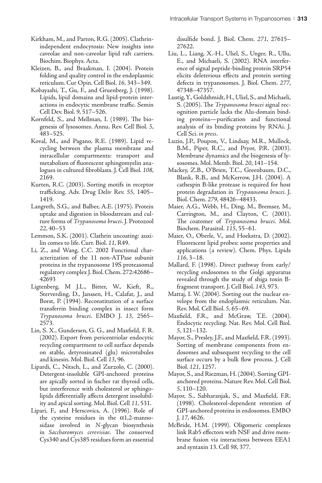- Kirkham, M., and Parton, R.G. (2005). Clathrinindependent endocytosis: New insights into caveolae and non-caveolar lipid raft carriers. Biochim. Biophys. Acta.
- Kleizen, B., and Braakman, I. (2004). Protein folding and quality control in the endoplasmic reticulum. Cur Opin. Cell Biol. 16, 343–349.
- Kobayashi, T., Gu, F., and Gruenberg, J. (1998). Lipids, lipid domains and lipid-protein interactions in endocytic membrane traffic. Semin Cell Dev. Biol. 9, 517–526.
- Kornfeld, S., and Mellman, I. (1989). The biogenesis of lysosomes. Annu. Rev. Cell Biol. 5, 483–525.
- Koval, M., and Pagano, R.E. (1989). Lipid recycling between the plasma membrane and intracellular compartments: transport and metabolism of fluorescent sphingomyelin analogues in cultured fibroblasts. J. Cell Biol. 108, 2169.
- Kurten, R.C. (2003). Sorting motifs in receptor trafficking. Adv. Drug Deliv Rev. 55, 1405– 1419.
- Langreth, S.G., and Balber, A.E. (1975). Protein uptake and digestion in bloodstream and culture forms of Trypanosoma brucei. J. Protozool 22, 40–53
- Lemmon, S.K. (2001). Clathrin uncoating: auxilin comes to life. Curr. Biol. 11, R49.
- Li, Z., and Wang, C.C. 2002 Functional characterization of the 11 non-ATPase subunit proteins in the trypanosome 19S proteasomal regulatory complex J. Biol. Chem. 272:42686– 42693
- Ligtenberg, M J.L., Bitter, W., Kieft, R., Sterverding, D., Janssen, H., Calafat, J., and Borst, P. (1994). Reconstitution of a surface transferrin binding complex in insect form Trypanosoma brucei. EMBO J. 13, 2565– 2573.
- Lin, S. X., Gundersen, G. G., and Maxfield, F. R. (2002). Export from pericentriolar endocytic recycling compartment to cell surface depends on stable, detyrosinated (glu) microtubules and kinesin. Mol. Biol. Cell 13, 96.
- Lipardi, C., Nitsch, L., and Zurzolo, C. (2000). Detergent-insoluble GPI-anchored proteins are apically sorted in fischer rat thyroid cells, but interference with cholesterol or sphingolipids differentially affects detergent insolubility and apical sorting. Mol. Biol. Cell 11, 531.
- Lipari, F., and Herscovics, A. (1996). Role of the cysteine residues in the  $\alpha$ 1,2-mannosidase involved in N-glycan biosynthesis in Saccharomyces cerevisiae. The conserved Cys340 and Cys385 residues form an essential

disulfide bond. J. Biol. Chem. 271, 27615– 27622.

- Liu, L., Liang, X.-H., Uliel, S., Unger, R., Ullu, E., and Michaeli, S. (2002). RNA interference of signal peptide-binding protein SRP54 elicits deleterious effects and protein sorting defects in trypanosomes. J. Biol. Chem. 277, 47348–47357.
- Lustig, Y., Goldshmidt, H., Uliel, S., and Michaeli, S. (2005). The Trypanosoma brucei signal recognition particle lacks the Alu-domain binding proteins—purification and functional analysis of its binding proteins by RNAi. J. Cell Sci. in press.
- Luzio, J.P., Poupon, V., Lindsay, M.R., Mullock, B.M., Piper, R.C., and Pryor, P.R. (2003). Membrane dynamics and the biogenesis of lysosomes. Mol. Memb. Biol. 20, 141–154.
- Mackey, Z.B., O'Brien, T.C., Greenbaum, D.C., Blank, R.B., and McKerrow, J.H. (2004). A cathespin B-like protease is required for host protein degradation in Trypanosoma brucei. J. Biol. Chem. 279, 48426–48433.
- Maier, A.G., Webb, H., Ding, M., Bremser, M., Carrington, M., and Clayton, C. (2001). The coatomer of Trypanosoma brucei. Mol. Biochem. Parasitol. 115, 55–61.
- Maier, O., Oberle, V., and Hoekstra, D. (2002). Fluorescent lipid probes: some properties and applications (a review). Chem. Phys. Lipids 116, 3–18.
- Mallard, F. (1998). Direct pathway from early/ recycling endosomes to the Golgi apparatus revealed through the study of shiga toxin Bfragment transport. J. Cell Biol. 143, 973.
- Mattaj, I. W. (2004). Sorting out the nuclear envelope from the endoplasmic reticulum. Nat. Rev. Mol. Cell Biol. 5, 65–69.
- Maxfield, F.R., and McGraw, T.E. (2004). Endocytic recycling. Nat. Rev. Mol. Cell Biol. 5, 121–132.
- Mayor, S., Presley, J.F., and Maxfield, F.R. (1993). Sorting of membrane components from endosomes and subsequent recycling to the cell surface occurs by a bulk flow process. J. Cell Biol. 121, 1257.
- Mayor, S., and Riezman, H. (2004). Sorting GPIanchored proteins. Nature Rev. Mol. Cell Biol. 5, 110–120.
- Mayor, S., Sabharanjak, S., and Maxfield, F.R. (1998). Cholesterol-dependent retention of GPI-anchored proteins in endosomes. EMBO J. 17, 4626.
- McBride, H.M. (1999). Oligomeric complexes link Rab5 effectors with NSF and drive membrane fusion via interactions between EEA1 and syntaxin 13. Cell 98, 377.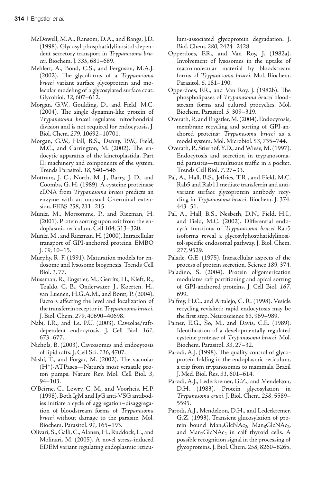- McDowell, M.A., Ransom, D.A., and Bangs, J.D. (1998). Glycosyl phosphatidylinositol-dependent secretory transport in Trypanosoma brucei. Biochem. J. 335, 681–689.
- Mehlert, A., Bond, C.S., and Ferguson, M.A.J.  $(2002)$ . The glycoforms of a Trypanosoma brucei variant surface glycoprotein and molecular modeling of a glycosylated surface coat. Glycobiol. 12, 607–612.
- Morgan, G.W., Goulding, D., and Field, M.C.  $(2004)$ . The single dynamin-like protein of Trypanosoma brucei regulates mitochondrial division and is not required for endocytosis. J. Biol. Chem. 279, 10692–10701.
- Morgan, G.W., Hall, B.S., Denny, P.W., Field, M.C., and Carrington, M. (2002). The endocytic apparatus of the kinetoplastida. Part II: machinery and components of the system. Trends Parasitol. 18, 540–546
- Mottram, J. C., North, M. J., Barry, J. D., and Coombs, G. H. (1989). A cysteine proteinase cDNA from Trypanosoma brucei predicts an enzyme with an unusual C-terminal extension. FEBS 258, 211–215.
- Muniz, M., Morsomme, P., and Riezman, H. (2001). Protein sorting upon exit from the endoplasmic reticulum. Cell 104, 313–320.
- Muñiz, M., and Riezman, H. (2000). Intracellular transport of GPI-anchored proteins. EMBO J. 19, 10–15.
- Murphy, R. F. (1991). Maturation models for endosome and lysosome biogenesis. Trends Cell Biol. 1, 77.
- Mussman, R., Engstler, M., Gerrits, H., Kieft, R., Toaldo, C. B., Onderwater, J., Koerten, H., van Luenen, H.G.A.M., and Borst, P. (2004). Factors affecting the level and localization of the transferrin receptor in Trypanosoma brucei. J. Biol. Chem. 279, 40690–40698.
- Nabi, I.R., and Le, P.U. (2003). Caveolae/raftdependent endocytosis. J. Cell Biol. 161, 673–677.
- Nichols, B. (2003). Caveosomes and endocytosis of lipid rafts. J. Cell Sci. 116, 4707.
- Nishi, T., and Forgac, M. (2002). The vacuolar (H+)-ATPases—Nature's most versatile proton pumps. Nature Rev. Mol. Cell Biol. 3, 94–103.
- O'Beirne, C., Lowry, C. M., and Voorheis, H.P. (1998). Both IgM and IgG anti-VSG antibodies initiate a cycle of aggregation–disaggregation of bloodstream forms of Trypanosoma brucei without damage to the parasite. Mol. Biochem. Parasitol. 91, 165–193.
- Olivari, S., Galli, C., Alanen, H., Ruddock, L., and Molinari, M. (2005). A novel stress-induced EDEM variant regulating endoplasmic reticu-

lum-associated glycoprotein degradation. J. Biol. Chem. 280, 2424–2428.

- Opperdoes, F.R., and Van Roy, J. (1982a). Involvement of lysosomes in the uptake of macromolecular material by bloodstream forms of Trypanosoma brucei. Mol. Biochem. Parasitol. 6, 181–190.
- Opperdoes, F.R., and Van Roy, J. (1982b). The phospholipases of Trypanosoma brucei bloodstream forms and culured procyclics. Mol. Biochem. Parasitol. 5, 309–319.
- Overath, P., and Engstler, M. (2004). Endocytosis, membrane recycling and sorting of GPI-anchored proteins: Trypanosoma brucei as a model system. Mol. Microbiol. 53, 735–744.
- Overath, P., Stierhof, Y.D., and Wiese, M. (1997). Endocytosis and secretion in trypanosomatid parasites—tumultuous traffic in a pocket. Trends Cell Biol. 7, 27–33.
- Pal, A., Hall, B.S., Jeffries, T.R., and Field, M.C. Rab5 and Rab11 mediate transferrin and antivariant surface glycoprotein antibody recycling in Trypanosoma brucei. Biochem. J. 374: 443–51.
- Pal, A., Hall, B.S., Nesbeth, D.N., Field, H.I., and Field, M.C. (2002). Differential endocytic functions of Trypanosoma brucei Rab5 isoforms reveal a glycosylphosphatidylinositol-specific endosomal pathway. J. Biol. Chem. 277, 9529.
- Palade, G.E. (1975). Intracellular aspects of the process of protein secretion. Science 189, 374.
- Paladino, S. (2004). Protein oligomerization modulates raft partitioning and apical sorting of GPI-anchored proteins. J. Cell Biol. 167, 699.
- Palfrey, H.C., and Artalejo, C. R. (1998). Vesicle recycling revisited: rapid endocytosis may be the first step. Neuroscience 83, 969–989.
- Pamer, E.G., So, M., and Davis, C.E. (1989). Identification of a developmentally regulated cysteine protease of Trypanosoma brucei. Mol. Biochem. Parasitol. 33, 27–32.
- Parodi, A.J. (1998). The quality control of glycoprotein folding in the endoplasmic reticulum, a trip from trypanosomes to mammals. Brazil J. Med. Biol. Res. 31, 601–614.
- Parodi, A.J., Lederkremer, G.Z., and Mendelzon, D.H. (1983). Protein glycosylation in Trypanosoma cruzi. J. Biol. Chem. 258, 5589– 5595.
- Parodi, A.J., Mendelzon, D.H., and Lederkremer, G.Z. (1993). Transient glucosylation of protein bound Man<sub>9</sub>GlcNAc<sub>2</sub>, Man<sub>8</sub>GlcNAc<sub>2</sub>, and Man<sub>7</sub>GlcNAc<sub>2</sub> in calf thyroid cells. A possible recognition signal in the processing of glycoproteins. J. Biol. Chem. 258, 8260–8265.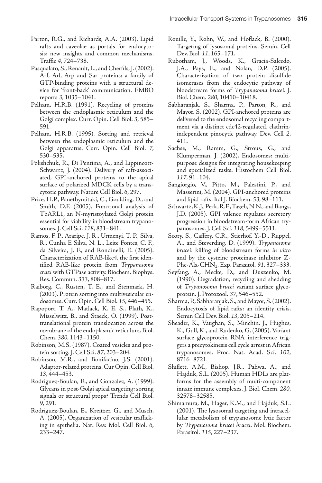- Parton, R.G., and Richards, A.A. (2003). Lipid rafts and caveolae as portals for endocytosis: new insights and common mechanisms. Traffic 4, 724–738.
- Pasqualato, S., Renault, L., and Cherfils, J. (2002). Arf, Arl, Arp and Sar proteins: a family of GTP-binding proteins with a structural device for 'front-back' communication. EMBO reports 3, 1035–1041.
- Pelham, H.R.B. (1991). Recycling of proteins between the endoplasmic reticulum and the Golgi complex. Curr. Opin. Cell Biol. 3, 585– 591.
- Pelham, H.R.B. (1995). Sorting and retrieval between the endoplasmic reticulum and the Golgi apparatus. Curr. Opin. Cell Biol. 7, 530–535.
- Polishchuk, R., Di Pentima, A., and Lippincott-Schwartz, J. (2004). Delivery of raft-associated, GPI-anchored proteins to the apical surface of polarized MDCK cells by a transcytotic pathway. Nature Cell Biol. 6, 297.
- Price, H.P., Panethymitaki, C., Goulding, D., and Smith, D.F. (2005). Functional analysis of TbARL1, an N-myristoylated Golgi protein essential for viability in bloodstream trypanosomes. J. Cell Sci. 118, 831–841.
- Ramos, F. P., Araripe, J. R., Urmenyi, T. P., Silva, R., Cunha E Silva, N. L., Leite Fontes, C. F., da Silveira, J. F., and Rondinelli, E. (2005). Characterization of RAB-like4, the first identified RAB-like protein from Trypanosoma cruzi with GTPase activity. Biochem. Biophys. Res. Commun. 333, 808–817.
- Raiborg, C., Rusten, T. E., and Stenmark, H. (2003). Protein sorting into multivesicular endosomes. Curr. Opin. Cell Biol. 15, 446–455.
- Rapoport, T. A., Matlack, K. E. S., Plath, K., Misselwitz, B., and Staeck, O. (1999). Posttranslational protein translocation across the membrane of the endoplasmic reticulum. Biol. Chem. 380, 1143–1150.
- Robinson, M.S. (1987). Coated vesicles and protein sorting. J. Cell Sci. 87, 203–204.
- Robinson, M.R., and Bonifacino, J.S. (2001). Adaptor-related proteins. Cur Opin. Cell Biol. 13, 444–453.
- Rodriguez-Boulan, E., and Gonzalez, A. (1999). Glycans in post-Golgi apical targeting: sorting signals or structural props? Trends Cell Biol. 9, 291.
- Rodriguez-Boulan, E., Kreitzer, G., and Musch, A. (2005). Organization of vesicular trafficking in epithelia. Nat. Rev. Mol. Cell Biol. 6, 233–247.
- Rouille, Y., Rohn, W., and Hoflack, B. (2000). Targeting of lysosomal proteins. Semin. Cell Dev. Biol. 11, 165–171.
- Rubotham, J., Woods, K., Gracia-Salcedo, J.A., Pays, E., and Nolan, D.P. (2005). Characterization of two protein disulfide isomerases from the endocytic pathway of bloodstream forms of Trypanosoma brucei. J. Biol. Chem. 280, 10410–10418.
- Sabharanjak, S., Sharma, P., Parton, R., and Mayor, S. (2002). GPI-anchored proteins are delivered to the endosomal recycling compartment via a distinct cdc42-regulated, clathrinindependent pinocytic pathway. Dev. Cell 2, 411.
- Sachse, M., Ramm, G., Strous, G., and Klumperman, J. (2002). Endosomes: multipurpose designs for integrating housekeeping and specialized tasks. Histochem Cell Biol. 117, 91–104.
- Sangiorgio, V., Pitto, M., Palestini, P., and Masserini, M. (2004). GPI-anchored proteins and lipid rafts. Ital J. Biochem. 53, 98–111.
- Schwartz, K.J., Peck, R.F., Tazeh, N.N., and Bangs, J.D. (2005). GPI valence regulates secretory progression in bloodstream-form African trypanosomes. J. Cell Sci. 118, 5499–5511.
- Scory, S., Caffery, C.R., Stierhof, Y.-D., Ruppel, A., and Steverding, D. (1999). Trypanosoma brucei: killing of bloodstream forms in vitro and by the cysteine proteinase inhibitor Z-Phe-Ala-CHN<sub>2</sub>. Exp. Parasitol. 91, 327–333.
- Seyfang, A., Mecke, D., and Duszenko, M. (1990). Degradation, recycling and shedding of Trypanosoma brucei variant surface glycoprotein. J. Protozool. 37, 546–552.
- Sharma, P., Sabharanjak, S., and Mayor, S. (2002). Endocytosis of lipid rafts: an identity crisis. Semin Cell Dev. Biol. 13, 205–214.
- Sheader, K., Vaughan, S., Minchin, J., Hughes, K., Gull, K., and Rudenko, G. (2005). Variant surface glycoprotein RNA interference triggers a precytokinesis cell cycle arrest in African trypanosomes. Proc. Nat. Acad. Sci. 102, 8716–8721.
- Shiflett, A.M., Bishop, J.R., Pahwa, A., and Hajduk, S.L. (2005). Human HDLs are platforms for the assembly of multi-component innate immune complexes. J. Biol. Chem. 280, 32578–32585.
- Shimamura, M., Hager, K.M., and Hajduk, S.L. (2001). The lysosomal targeting and intracellular metabolism of trypanosome lytic factor by Trypanosoma brucei brucei. Mol. Biochem. Parasitol. 115, 227–237.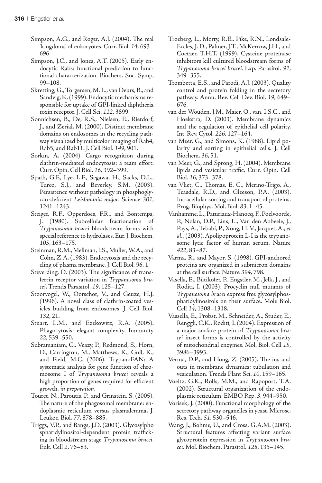- Simpson, A.G., and Roger, A.J. (2004). The real 'kingdoms' of eukaryotes. Curr. Biol. 14, 693– 696.
- Simpson, J.C., and Jones, A.T. (2005). Early endocytic Rabs: functional prediction to functional characterization. Biochem. Soc. Symp, 99–108.
- Skretting, G., Torgersen, M. L., van Deurs, B., and Sandvig, K. (1999). Endocytic mechanisms responsible for uptake of GPI-linked diphtheria toxin receptor. J. Cell Sci. 112, 3899.
- Sonnichsen, B., De, R.S., Nielsen, E., Rietdorf, J., and Zerial, M. (2000). Distinct membrane domains on endosomes in the recycling pathway visualized by multicolor imaging of Rab4, Rab5, and Rab11. J. Cell Biol. 149, 901.
- Sorkin, A. (2004). Cargo recognition during clathrin-mediated endocytosis: a team effort. Curr. Opin. Cell Biol. 16, 392–399.
- Spath, G.F., Lye, L.F., Segawa, H., Sacks, D.L., Turco, S.J., and Beverley, S.M. (2003). Persistence without pathology in phosphoglycan-deficient Leishmania major. Science 301, 1241–1243.
- Steiger, R.F., Opperdoes, F.R., and Bontemps, J. (1980). Subcellular fractionation of Trypanosoma brucei bloodstream forms with special reference to hydrolases. Eur. J. Biochem. 105, 163–175.
- Steinman, R.M., Mellman, I.S., Muller, W.A., and Cohn, Z.A. (1983). Endocytosis and the recycling of plasma membrane. J. Cell Biol. 96, 1.
- Steverding, D. (2003). The significance of transferrin receptor variation in Trypanosoma brucei. Trends Parasitol. 19, 125–127.
- Stoorvogel, W., Oorschot, V., and Geuze, H.J. (1996). A novel class of clathrin-coated vesicles budding from endosomes. J. Cell Biol. 132, 21.
- Stuart, L.M., and Ezekowitz, R.A. (2005). Phagocytosis: elegant complexity. Immunity 22, 539–550.
- Subramaniam, C., Veazy, P., Redmond, S., Horn, D., Carrington, M., Matthews, K., Gull, K., and Field, M.C. (2006). TrypanoFAN: A systematic analysis for gene function of chromosome I of Trypanosoma brucei reveals a high proportion of genes required for efficient growth. in preparation.
- Touret, N., Paroutis, P., and Grinstein, S. (2005). The nature of the phagosomal membrane: endoplasmic reticulum versus plasmalemma. J. Leukoc. Biol. 77, 878–885.
- Triggs, V.P., and Bangs, J.D. (2003). Glycosylpho sphatidylinositol-dependent protein trafficking in bloodstream stage Trypanosoma brucei. Euk. Cell 2, 76–83.
- Troeberg, L., Morty, R.E., Pike, R.N., Londsale-Eccles, J. D., Palmer, J.T., McKerrow, J.H., and Coetzer, T.H.T. (1999). Cysteine proteinase inhibitors kill cultured bloodstream forms of Trypanosoma brucei brucei. Exp. Parasitol. 91, 349–355.
- Trombetta, E.S., and Parodi, A.J. (2003). Quality control and protein folding in the secretory pathway. Annu. Rev. Cell Dev. Biol. 19, 649– 676.
- van der Wouden, J.M., Maier, O., van, I.S.C., and Hoekstra, D. (2003). Membrane dynamics and the regulation of epithelial cell polarity. Int. Rev. Cytol. 226, 127–164.
- van Meer, G., and Simons, K. (1988). Lipid polarity and sorting in epithelial cells. J. Cell Biochem. 36, 51.
- van Meer, G., and Sprong, H. (2004). Membrane lipids and vesicular traffic. Curr. Opin. Cell Biol. 16, 373–378.
- van Vliet, C., Thomas, E. C., Merino-Trigo, A., Teasdale, R.D., and Gleeson, P.A. (2003). Intracellular sorting and transport of proteins. Prog. Biophys. Mol. Biol. 83, 1–45.
- Vanhamme, L., Paturiaux-Hanocq, F., Poelvoorde, P., Nolan, D.P., Lins, L., Van den Abbeele, J., Pays, A., Tebabi, P., Xong, H. V., Jacquet, A., et al., (2003). Apolipoprotein L-I is the trypanosome lytic factor of human serum. Nature 422, 83–87.
- Varma, R., and Mayor, S. (1998). GPI-anchored proteins are organized in submicron domains at the cell surface. Nature 394, 798.
- Vasella, E., Bütikofer, P., Engstler, M., Jelk, J., and Roditi, I. (2003). Procyclin null mutants of Trypanosoma brucei express free glycosylphosphatidylinositols on their surface. Mole Biol. Cell 14, 1308–1318.
- Vassella, E., Probst, M., Schneider, A., Studer, E., Renggli, C.K., Roditi, I. (2004). Expression of a major surface protein of Trypanosoma brucei insect forms is controlled by the activity of mitochondrial enzymes. Mol. Biol. Cell 15, 3986–3993.
- Verma, D.P., and Hong, Z. (2005). The ins and outs in membrane dynamics: tubulation and vesiculation. Trends Plant Sci. 10, 159–165.
- Voeltz, G.K., Rolls, M.M., and Rapoport, T.A. (2002). Structural organization of the endoplasmic reticulum. EMBO Rep. 3, 944–950.
- Vorisek, J. (2000). Functional morphology of the secretory pathway organelles in yeast. Microsc. Res. Tech. 51, 530–546.
- Wang, J., Bohme, U., and Cross, G.A.M. (2003). Structural features affecting variant surface glycoprotein expression in Trypanosoma brucei. Mol. Biochem. Parasitol. 128, 135–145.